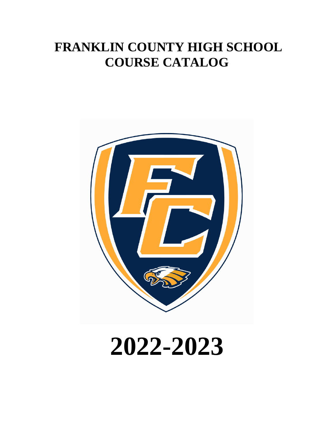# **FRANKLIN COUNTY HIGH SCHOOL COURSE CATALOG**



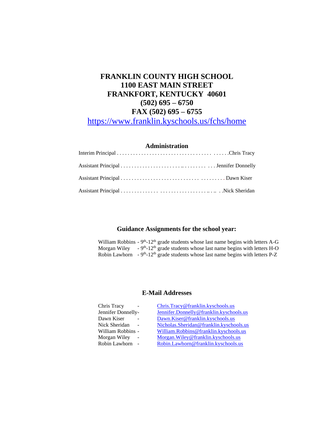# **FRANKLIN COUNTY HIGH SCHOOL 1100 EAST MAIN STREET FRANKFORT, KENTUCKY 40601 (502) 695 – 6750 FAX (502) 695 – 6755**

<https://www.franklin.kyschools.us/fchs/home>

# **Administration**

# **Guidance Assignments for the school year:**

William Robbins -  $9<sup>th</sup>$ -12<sup>th</sup> grade students whose last name begins with letters A-G Morgan Wiley  $\sim 9^{th}$ -12<sup>th</sup> grade students whose last name begins with letters H-O Robin Lawhorn  $-9<sup>th</sup>$ -12<sup>th</sup> grade students whose last name begins with letters P-Z

# **E-Mail Addresses**

| Chris Tracy<br>$\overline{\phantom{a}}$ | Chris.Tracy@franklin.kyschools.us       |
|-----------------------------------------|-----------------------------------------|
| Jennifer Donnelly-                      | Jennifer.Donnelly@franklin.kyschools.us |
| Dawn Kiser<br>$\overline{\phantom{a}}$  | Dawn.Kiser@franklin.kyschools.us        |
| Nick Sheridan<br>$\sim$                 | Nicholas.Sheridan@franklin.kyschools.us |
| William Robbins -                       | William.Robbins@franklin.kyschools.us   |
| Morgan Wiley<br>$\sim$                  | Morgan. Wiley@franklin.kyschools.us     |
| Robin Lawhorn<br>$\sim$                 | Robin.Lawhorn@franklin.kyschools.us     |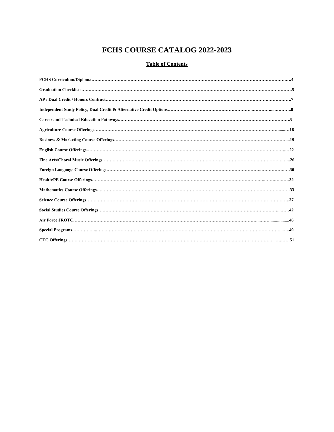# **FCHS COURSE CATALOG 2022-2023**

# **Table of Contents**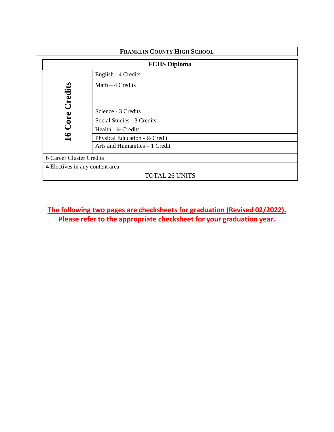| <b>FRANKLIN COUNTY HIGH SCHOOL</b> |                                 |
|------------------------------------|---------------------------------|
|                                    | <b>FCHS Diploma</b>             |
|                                    | English - 4 Credits             |
| $\operatorname{Tredits}$           | Math $-4$ Credits               |
|                                    | Science - 3 Credits             |
| Core                               | Social Studies - 3 Credits      |
|                                    | Health - $\frac{1}{2}$ Credits  |
| $\mathbf{S}$                       | Physical Education - 1/2 Credit |
|                                    | Arts and Humanities - 1 Credit  |
| <b>6 Career Cluster Credits</b>    |                                 |
| 4 Electives in any content area    |                                 |
|                                    | <b>TOTAL 26 UNITS</b>           |

# **The following two pages are checksheets for graduation (Revised 02/2022). Please refer to the appropriate checksheet for your graduation year.**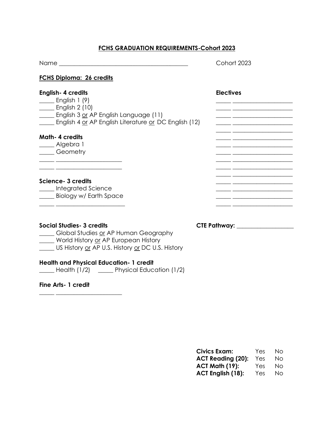# **FCHS GRADUATION REQUIREMENTS-Cohort 2023**

| Name                             | Cohort 2023 |
|----------------------------------|-------------|
| $E C U C$ Diploman, $2l$ availle |             |

# **FCHS Diploma: 26 credits**

| <b>English-4 credits</b><br>English $1(9)$<br>$\Box$ English 2 (10)<br>English 3 or AP English Language (11)<br>English 4 or AP English Literature or DC English (12) | <b>Electives</b> |
|-----------------------------------------------------------------------------------------------------------------------------------------------------------------------|------------------|
| <b>Math-4 credits</b><br><sub>-</sub> Algebra 1<br>Geometry                                                                                                           |                  |
| Science- 3 credits<br>__ Integrated Science<br>Biology w/ Earth Space                                                                                                 |                  |

**Social Studies- 3 credits CTE Pathway: \_\_\_\_\_\_\_\_\_\_\_\_\_\_\_\_\_\_\_**

\_\_\_\_\_ Global Studies or AP Human Geography \_\_\_\_\_ World History or AP European History

\_\_\_\_\_ US History <u>or</u> AP U.S. History <u>or</u> DC U.S. History

# **Health and Physical Education- 1 credit**

\_\_\_\_\_ Health (1/2) \_\_\_\_\_ Physical Education (1/2)

**Fine Arts- 1 credit**

\_\_\_\_\_ \_\_\_\_\_\_\_\_\_\_\_\_\_\_\_\_\_\_\_\_\_\_

| <b>Civics Exam:</b>      | Yes | Nο |
|--------------------------|-----|----|
| <b>ACT Reading (20):</b> | Yes | Nο |
| <b>ACT Math (19):</b>    | Yes | Nο |
| ACT English (18):        | Yes | Nο |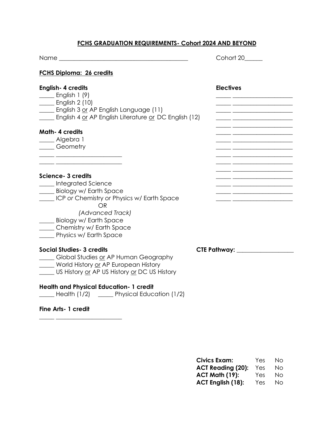# **FCHS GRADUATION REQUIREMENTS- Cohort 2024 AND BEYOND**

|                                                                                                                                                                                                                                    | Cohort 20                      |
|------------------------------------------------------------------------------------------------------------------------------------------------------------------------------------------------------------------------------------|--------------------------------|
| <b>FCHS Diploma: 26 credits</b>                                                                                                                                                                                                    |                                |
| <b>English-4 credits</b><br>$\frac{1}{2}$ English 1 (9)<br>$\frac{1}{\sqrt{1-\frac{1}{2}}}$ English 2 (10)<br>English 3 or AP English Language (11)<br>English 4 or AP English Literature or DC English (12)                       | <b>Electives</b>               |
| <b>Math-4 credits</b><br>____ Algebra 1<br><b>Ceometry</b>                                                                                                                                                                         |                                |
| Science- 3 credits<br>____ Integrated Science<br>Biology w/ Earth Space<br>Let CP or Chemistry or Physics w/ Earth Space<br>OR<br>(Advanced Track)<br>Biology w/ Earth Space<br>Chemistry w/ Earth Space<br>Physics w/ Earth Space |                                |
| <b>Social Studies- 3 credits</b><br>_____ Global Studies or AP Human Geography<br>World History or AP European History<br>US History or AP US History or DC US History                                                             | CTE Pathway: _________________ |
| <b>Health and Physical Education- 1 credit</b><br>Health (1/2) _____ Physical Education (1/2)                                                                                                                                      |                                |
| <b>Fine Arts- 1 credit</b>                                                                                                                                                                                                         |                                |

**Civics Exam:** Yes No ACT Reading (20): Yes No **ACT Math (19):** Yes No **ACT English (18):** Yes No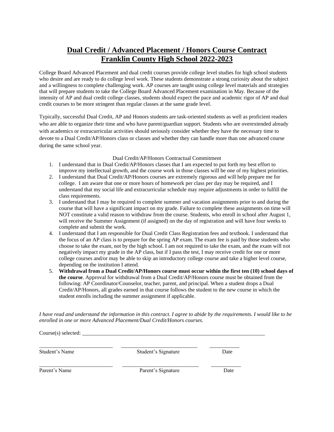# **Dual Credit / Advanced Placement / Honors Course Contract Franklin County High School 2022-2023**

College Board Advanced Placement and dual credit courses provide college level studies for high school students who desire and are ready to do college level work. These students demonstrate a strong curiosity about the subject and a willingness to complete challenging work. AP courses are taught using college level materials and strategies that will prepare students to take the College Board Advanced Placement examination in May. Because of the intensity of AP and dual credit college classes, students should expect the pace and academic rigor of AP and dual credit courses to be more stringent than regular classes at the same grade level.

Typically, successful Dual Credit, AP and Honors students are task-oriented students as well as proficient readers who are able to organize their time and who have parent/guardian support. Students who are overextended already with academics or extracurricular activities should seriously consider whether they have the necessary time to devote to a Dual Credit/AP/Honors class or classes and whether they can handle more than one advanced course during the same school year.

### Dual Credit/AP/Honors Contractual Commitment

- 1. I understand that in Dual Credit/AP/Honors classes that I am expected to put forth my best effort to improve my intellectual growth, and the course work in those classes will be one of my highest priorities.
- 2. I understand that Dual Credit/AP/Honors courses are extremely rigorous and will help prepare me for college. I am aware that one or more hours of homework per class per day may be required, and I understand that my social life and extracurricular schedule may require adjustments in order to fulfill the class requirements.
- 3. I understand that I may be required to complete summer and vacation assignments prior to and during the course that will have a significant impact on my grade. Failure to complete these assignments on time will NOT constitute a valid reason to withdraw from the course. Students, who enroll in school after August 1, will receive the Summer Assignment (if assigned) on the day of registration and will have four weeks to complete and submit the work.
- 4. I understand that I am responsible for Dual Credit Class Registration fees and textbook. I understand that the focus of an AP class is to prepare for the spring AP exam. The exam fee is paid by those students who choose to take the exam, not by the high school. I am not required to take the exam, and the exam will not negatively impact my grade in the AP class, but if I pass the test, I may receive credit for one or more college courses and/or may be able to skip an introductory college course and take a higher level course, depending on the institution I attend.
- 5. **Withdrawal from a Dual Credit/AP/Honors course must occur within the first ten (10) school days of the course**. Approval for withdrawal from a Dual Credit/AP/Honors course must be obtained from the following: AP Coordinator/Counselor, teacher, parent, and principal. When a student drops a Dual Credit/AP/Honors, all grades earned in that course follows the student to the new course in which the student enrolls including the summer assignment if applicable.

*I have read and understand the information in this contract. I agree to abide by the requirements. I would like to be enrolled in one or more Advanced Placement/Dual Credit/Honors courses.*

 $Course(s) selected:$ \_\_\_\_\_\_\_\_\_\_\_\_\_\_\_\_\_\_\_\_\_\_\_\_\_\_\_ \_\_\_\_\_\_\_\_\_\_\_\_\_\_\_\_\_\_\_\_\_\_\_\_\_\_\_\_ \_\_\_\_\_\_\_\_\_\_\_ Student's Name Student's Signature Date \_\_\_\_\_\_\_\_\_\_\_\_\_\_\_\_\_\_\_\_\_\_\_\_\_\_\_ \_\_\_\_\_\_\_\_\_\_\_\_\_\_\_\_\_\_\_\_\_\_\_\_\_\_\_\_ \_\_\_\_\_\_\_\_\_\_\_ Parent's Name **Parent's Signature** Date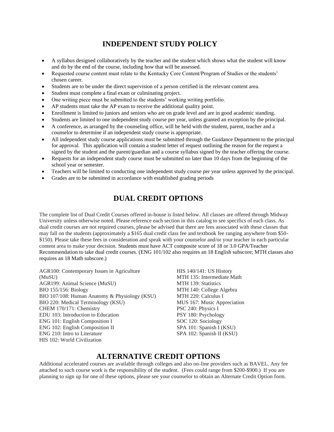# **INDEPENDENT STUDY POLICY**

- A syllabus designed collaboratively by the teacher and the student which shows what the student will know and do by the end of the course, including how that will be assessed.
- Requested course content must relate to the Kentucky Core Content/Program of Studies or the students' chosen career.
- Students are to be under the direct supervision of a person certified in the relevant content area.
- Student must complete a final exam or culminating project.
- One writing piece must be submitted to the students' working writing portfolio.
- AP students must take the AP exam to receive the additional quality point.
- Enrollment is limited to juniors and seniors who are on grade level and are in good academic standing.
- Students are limited to one independent study course per year, unless granted an exception by the principal.
- A conference, as arranged by the counseling office, will be held with the student, parent, teacher and a counselor to determine if an independent study course is appropriate.
- All independent study course applications must be submitted through the Guidance Department to the principal for approval. This application will contain a student letter of request outlining the reason for the request a signed by the student and the parent/guardian and a course syllabus signed by the teacher offering the course.
- Requests for an independent study course must be submitted no later than 10 days from the beginning of the school year or semester.
- Teachers will be limited to conducting one independent study course per year unless approved by the principal.
- Grades are to be submitted in accordance with established grading periods

# **DUAL CREDIT OPTIONS**

The complete list of Dual Credit Courses offered in-house is listed below. All classes are offered through Midway University unless otherwise noted. Please reference each section in this catalog to see specifics of each class. As dual credit courses are not required courses, please be advised that there are fees associated with these classes that may fall on the students (approximately a \$165 dual credit class fee and textbook fee ranging anywhere from \$50- \$150). Please take these fees in consideration and speak with your counselor and/or your teacher in each particular content area to make your decision. Students must have ACT composite score of 18 or 3.0 GPA/Teacher Recommendation to take dual credit courses. (ENG 101/102 also requires an 18 English subscore; MTH classes also requires an 18 Math subscore.)

AGR100: Contemporary Issues in Agriculture (MuSU) AGR199: Animal Science (MuSU) BIO 155/156: Biology BIO 107/108: Human Anatomy & Physiology (KSU) BIO 220: Medical Terminology (KSU) CHEM 170/171: Chemistry EDU 103: Introduction to Education ENG 101: English Composition I ENG 102: English Composition II ENG 210: Intro to Literature HIS 102: World Civilization

HIS 140/141: US History MTH 135: Intermediate Math MTH 139: Statistics MTH 140: College Algebra MTH 220: Calculus I MUS 167: Music Appreciation PSC 240: Physics I PSY 180: Psychology SOC 120: Sociology SPA 101: Spanish I (KSU) SPA 102: Spanish II (KSU)

# **ALTERNATIVE CREDIT OPTIONS**

Additional accelerated courses are available through colleges and also on-line providers such as BAVEL. Any fee attached to such course work is the responsibility of the student. (Fees could range from \$200-\$900.) If you are planning to sign up for one of these options, please see your counselor to obtain an Alternate Credit Option form.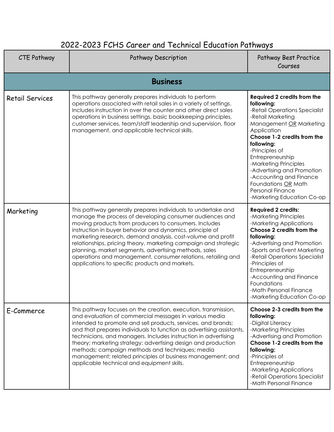# 2022-2023 FCHS Career and Technical Education Pathways

| <b>CTE Pathway</b>     | Pathway Description                                                                                                                                                                                                                                                                                                                                                                                                                                                                                                                                                | Pathway Best Practice<br>Courses                                                                                                                                                                                                                                                                                                                                                               |
|------------------------|--------------------------------------------------------------------------------------------------------------------------------------------------------------------------------------------------------------------------------------------------------------------------------------------------------------------------------------------------------------------------------------------------------------------------------------------------------------------------------------------------------------------------------------------------------------------|------------------------------------------------------------------------------------------------------------------------------------------------------------------------------------------------------------------------------------------------------------------------------------------------------------------------------------------------------------------------------------------------|
|                        | <b>Business</b>                                                                                                                                                                                                                                                                                                                                                                                                                                                                                                                                                    |                                                                                                                                                                                                                                                                                                                                                                                                |
| <b>Retail Services</b> | This pathway generally prepares individuals to perform<br>operations associated with retail sales in a variety of settings.<br>Includes instruction in over the counter and other direct sales<br>operations in business settings, basic bookkeeping principles,<br>customer services, team/staff leadership and supervision, floor<br>management, and applicable technical skills.                                                                                                                                                                                | <b>Required 2 credits from the</b><br>following:<br>-Retail Operations Specialist<br>-Retail Marketing<br>Management OR Marketing<br>Application<br>Choose 1-2 credits from the<br>following:<br>-Principles of<br>Entrepreneurship<br>-Marketing Principles<br>-Advertising and Promotion<br>-Accounting and Finance<br>Foundations OR Math<br>Personal Finance<br>-Marketing Education Co-op |
| Marketing              | This pathway generally prepares individuals to undertake and<br>manage the process of developing consumer audiences and<br>moving products from producers to consumers. Includes<br>instruction in buyer behavior and dynamics, principle of<br>marketing research, demand analysis, cost-volume and profit<br>relationships, pricing theory, marketing campaign and strategic<br>planning, market segments, advertising methods, sales<br>operations and management, consumer relations, retailing and<br>applications to specific products and markets.          | <b>Required 2 credits:</b><br>-Marketing Principles<br>-Marketing Applications<br>Choose 2 credits from the<br>following:<br>-Advertising and Promotion<br>-Sports and Event Marketing<br>-Retail Operations Specialist<br>-Principles of<br>Entrepreneurship<br>-Accounting and Finance<br>Foundations<br>-Math Personal Finance<br>-Marketing Education Co-op                                |
| E-Commerce             | This pathway focuses on the creation, execution, transmission,<br>and evaluation of commercial messages in various media<br>intended to promote and sell products, services, and brands;<br>and that prepares individuals to function as advertising assistants,<br>technicians, and managers. Includes instruction in advertising<br>theory; marketing strategy; advertising design and production<br>methods; campaign methods and techniques; media<br>management; related principles of business management; and<br>applicable technical and equipment skills. | Choose 2-3 credits from the<br>following:<br>-Digital Literacy<br>-Marketing Principles<br>-Advertising and Promotion<br>Choose 1-2 credits from the<br>following:<br>-Principles of<br>Entrepreneurship<br>-Marketing Applications<br>-Retail Operations Specialist<br>-Math Personal Finance                                                                                                 |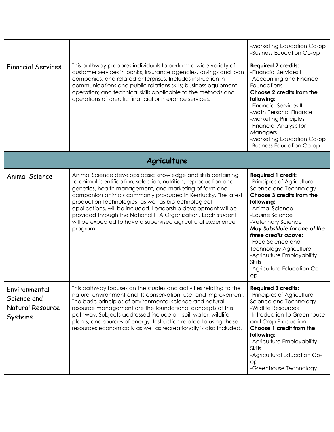|                                                             |                                                                                                                                                                                                                                                                                                                                                                                                                                                                                                                                   | -Marketing Education Co-op<br>-Business Education Co-op                                                                                                                                                                                                                                                                                                                                      |
|-------------------------------------------------------------|-----------------------------------------------------------------------------------------------------------------------------------------------------------------------------------------------------------------------------------------------------------------------------------------------------------------------------------------------------------------------------------------------------------------------------------------------------------------------------------------------------------------------------------|----------------------------------------------------------------------------------------------------------------------------------------------------------------------------------------------------------------------------------------------------------------------------------------------------------------------------------------------------------------------------------------------|
| <b>Financial Services</b>                                   | This pathway prepares individuals to perform a wide variety of<br>customer services in banks, insurance agencies, savings and loan<br>companies, and related enterprises. Includes instruction in<br>communications and public relations skills; business equipment<br>operation; and technical skills applicable to the methods and<br>operations of specific financial or insurance services.                                                                                                                                   | <b>Required 2 credits:</b><br>-Financial Services I<br>-Accounting and Finance<br>Foundations<br>Choose 2 credits from the<br>following:<br>-Financial Services II<br>-Math Personal Finance<br>-Marketing Principles<br>-Financial Analysis for<br>Managers<br>-Marketing Education Co-op<br>-Business Education Co-op                                                                      |
|                                                             | Agriculture                                                                                                                                                                                                                                                                                                                                                                                                                                                                                                                       |                                                                                                                                                                                                                                                                                                                                                                                              |
| <b>Animal Science</b>                                       | Animal Science develops basic knowledge and skills pertaining<br>to animal identification, selection, nutrition, reproduction and<br>genetics, health management, and marketing of farm and<br>companion animals commonly produced in Kentucky. The latest<br>production technologies, as well as biotechnological<br>applications, will be included. Leadership development will be<br>provided through the National FFA Organization. Each student<br>will be expected to have a supervised agricultural experience<br>program. | <b>Required 1 credit:</b><br>-Principles of Agricultural<br>Science and Technology<br>Choose 3 credits from the<br>following:<br>-Animal Science<br>-Equine Science<br>-Veterinary Science<br>May Substitute for one of the<br>three credits above:<br>-Food Science and<br><b>Technology Agriculture</b><br>-Agriculture Employability<br><b>Skills</b><br>-Agriculture Education Co-<br>op |
| Environmental<br>Science and<br>Natural Resource<br>Systems | This pathway focuses on the studies and activities relating to the<br>natural environment and its conservation, use, and improvement.<br>The basic principles of environmental science and natural<br>resource management are the foundational concepts of this<br>pathway. Subjects addressed include air, soil, water, wildlife,<br>plants, and sources of energy. Instruction related to using these<br>resources economically as well as recreationally is also included.                                                     | <b>Required 3 credits:</b><br>-Principles of Agricultural<br>Science and Technology<br>-Wildlife Resources<br>-Introduction to Greenhouse<br>and Crop Production<br>Choose 1 credit from the<br>following:<br>-Agriculture Employability<br>Skills<br>-Agricultural Education Co-<br>op<br>-Greenhouse Technology                                                                            |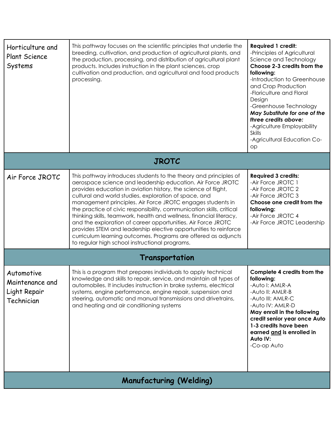| Horticulture and<br><b>Plant Science</b><br>Systems         | This pathway focuses on the scientific principles that underlie the<br>breeding, cultivation, and production of agricultural plants, and<br>the production, processing, and distribution of agricultural plant<br>products. Includes instruction in the plant sciences, crop<br>cultivation and production, and agricultural and food products<br>processing.                                                                                                                                                                                                                                                                                                                                                                   | <b>Required 1 credit:</b><br>-Principles of Agricultural<br>Science and Technology<br>Choose 2-3 credits from the<br>following:<br>-Introduction to Greenhouse<br>and Crop Production<br>-Floriculture and Floral<br>Design<br>-Greenhouse Technology<br>May Substitute for one of the<br>three credits above:<br>-Agriculture Employability<br><b>Skills</b><br>-Agricultural Education Co-<br>op |
|-------------------------------------------------------------|---------------------------------------------------------------------------------------------------------------------------------------------------------------------------------------------------------------------------------------------------------------------------------------------------------------------------------------------------------------------------------------------------------------------------------------------------------------------------------------------------------------------------------------------------------------------------------------------------------------------------------------------------------------------------------------------------------------------------------|----------------------------------------------------------------------------------------------------------------------------------------------------------------------------------------------------------------------------------------------------------------------------------------------------------------------------------------------------------------------------------------------------|
| <b>JROTC</b>                                                |                                                                                                                                                                                                                                                                                                                                                                                                                                                                                                                                                                                                                                                                                                                                 |                                                                                                                                                                                                                                                                                                                                                                                                    |
| Air Force JROTC                                             | This pathway introduces students to the theory and principles of<br>aerospace science and leadership education. Air Force JROTC<br>provides education in aviation history, the science of flight,<br>cultural and world studies, exploration of space, and<br>management principles. Air Force JROTC engages students in<br>the practice of civic responsibility, communication skills, critical<br>thinking skills, teamwork, health and wellness, financial literacy,<br>and the exploration of career opportunities. Air Force JROTC<br>provides STEM and leadership elective opportunities to reinforce<br>curriculum learning outcomes. Programs are offered as adjuncts<br>to regular high school instructional programs. | <b>Required 3 credits:</b><br>-Air Force JROTC 1<br>-Air Force JROTC 2<br>-Air Force JROTC 3<br>Choose one credit from the<br>following:<br>-Air Force JROTC 4<br>-Air Force JROTC Leadership                                                                                                                                                                                                      |
| Transportation                                              |                                                                                                                                                                                                                                                                                                                                                                                                                                                                                                                                                                                                                                                                                                                                 |                                                                                                                                                                                                                                                                                                                                                                                                    |
| Automotive<br>Maintenance and<br>Light Repair<br>Technician | This is a program that prepares individuals to apply technical<br>knowledge and skills to repair, service, and maintain all types of<br>automobiles. It includes instruction in brake systems, electrical<br>systems, engine performance, engine repair, suspension and<br>steering, automatic and manual transmissions and drivetrains,<br>and heating and air conditioning systems                                                                                                                                                                                                                                                                                                                                            | Complete 4 credits from the<br>following:<br>-Auto I: AMLR-A<br>-Auto II: AMLR-B<br>-Auto III: AMLR-C<br>-Auto IV: AMLR-D<br>May enroll in the following<br>credit senior year once Auto<br>1-3 credits have been<br>earned and is enrolled in<br>Auto IV:<br>-Co-op Auto                                                                                                                          |
| <b>Manufacturing (Welding)</b>                              |                                                                                                                                                                                                                                                                                                                                                                                                                                                                                                                                                                                                                                                                                                                                 |                                                                                                                                                                                                                                                                                                                                                                                                    |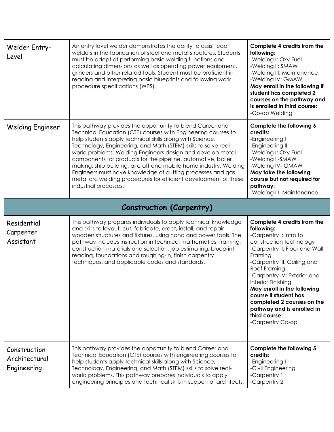| Welder Entry-<br>Level                       | An entry level welder demonstrates the ability to assist lead<br>welders in the fabrication of steel and metal structures. Students<br>must be adept at performing basic welding functions and<br>calculating dimensions as well as operating power equipment,<br>grinders and other related tools. Student must be proficient in<br>reading and interpreting basic blueprints and following work<br>procedure specifications (WPS).                                                                                                                                                                                  | Complete 4 credits from the<br>following:<br>-Welding I: Oxy Fuel<br>-Welding II: SMAW<br>-Welding III: Maintenance<br>-Welding IV: GMAW<br>May enroll in the following if<br>student has completed 2<br>courses on the pathway and<br>is enrolled in third course:<br>-Co-op Welding                                                                                                                   |
|----------------------------------------------|-----------------------------------------------------------------------------------------------------------------------------------------------------------------------------------------------------------------------------------------------------------------------------------------------------------------------------------------------------------------------------------------------------------------------------------------------------------------------------------------------------------------------------------------------------------------------------------------------------------------------|---------------------------------------------------------------------------------------------------------------------------------------------------------------------------------------------------------------------------------------------------------------------------------------------------------------------------------------------------------------------------------------------------------|
| <b>Welding Engineer</b>                      | This pathway provides the opportunity to blend Career and<br>Technical Education (CTE) courses with Engineering courses to<br>help students apply technical skills along with Science,<br>Technology, Engineering, and Math (STEM) skills to solve real-<br>world problems. Welding Engineers design and develop metal<br>components for products for the pipeline, automotive, boiler<br>making, ship building, aircraft and mobile home industry. Welding<br>Engineers must have knowledge of cutting processes and gas<br>metal arc welding procedures for efficient development of these<br>industrial processes. | Complete the following 6<br>credits:<br>-Engineering I<br>-Engineering II<br>-Welding I: Oxy Fuel<br>-Welding II-SMAW<br>-Welding IV- GMAW<br>May take the following<br>course but not required for<br>pathway:<br>-Welding III- Maintenance                                                                                                                                                            |
| <b>Construction (Carpentry)</b>              |                                                                                                                                                                                                                                                                                                                                                                                                                                                                                                                                                                                                                       |                                                                                                                                                                                                                                                                                                                                                                                                         |
| Residential<br>Carpenter<br>Assistant        | This pathway prepares individuals to apply technical knowledge<br>and skills to layout, cut, fabricate, erect, install, and repair<br>wooden structures and fixtures, using hand and power tools. The<br>pathway includes instruction in technical mathematics, framing,<br>construction materials and selection, job estimating, blueprint<br>reading, foundations and roughing-in, finish carpentry<br>techniques, and applicable codes and standards.                                                                                                                                                              | Complete 4 credits from the<br>following:<br>-Carpentry I: Intro to<br>construction technology<br>-Carpentry II: Floor and Wall<br>Framing<br>-Carpentry III: Ceiling and<br>Roof Framing<br>-Carpentry IV: Exterior and<br>Interior Finishing<br>May enroll in the following<br>course if student has<br>completed 2 courses on the<br>pathway and is enrolled in<br>third course:<br>-Carpentry Co-op |
| Construction<br>Architectural<br>Engineering | This pathway provides the opportunity to blend Career and<br>Technical Education (CTE) courses with engineering courses to<br>help students apply technical skills along with Science,<br>Technology, Engineering, and Math (STEM) skills to solve real-                                                                                                                                                                                                                                                                                                                                                              | Complete the following 5<br>credits:<br>-Engineering I<br>-Civil Engineering                                                                                                                                                                                                                                                                                                                            |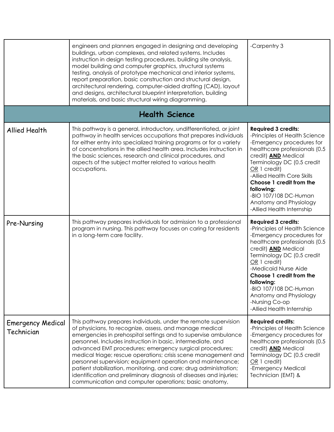|                                        | engineers and planners engaged in designing and developing<br>buildings, urban complexes, and related systems. Includes<br>instruction in design testing procedures, building site analysis,<br>model building and computer graphics, structural systems<br>testing, analysis of prototype mechanical and interior systems,<br>report preparation, basic construction and structural design,<br>architectural rendering, computer-aided drafting (CAD), layout<br>and designs, architectural blueprint interpretation, building<br>materials, and basic structural wiring diagramming.                                                                      | -Carpentry 3                                                                                                                                                                                                                                                                                                                                                              |
|----------------------------------------|-------------------------------------------------------------------------------------------------------------------------------------------------------------------------------------------------------------------------------------------------------------------------------------------------------------------------------------------------------------------------------------------------------------------------------------------------------------------------------------------------------------------------------------------------------------------------------------------------------------------------------------------------------------|---------------------------------------------------------------------------------------------------------------------------------------------------------------------------------------------------------------------------------------------------------------------------------------------------------------------------------------------------------------------------|
|                                        | <b>Health Science</b>                                                                                                                                                                                                                                                                                                                                                                                                                                                                                                                                                                                                                                       |                                                                                                                                                                                                                                                                                                                                                                           |
| Allied Health                          | This pathway is a general, introductory, undifferentiated, or joint<br>pathway in health services occupations that prepares individuals<br>for either entry into specialized training programs or for a variety<br>of concentrations in the allied health area. Includes instruction in<br>the basic sciences, research and clinical procedures, and<br>aspects of the subject matter related to various health<br>occupations.                                                                                                                                                                                                                             | <b>Required 3 credits:</b><br>-Principles of Health Science<br>-Emergency procedures for<br>healthcare professionals (0.5<br>credit) <b>AND</b> Medical<br>Terminology DC (0.5 credit<br>OR 1 credit)<br>-Allied Health Core Skills<br>Choose 1 credit from the<br>following:<br>-BIO 107/108 DC-Human<br>Anatomy and Physiology<br>-Allied Health Internship             |
| Pre-Nursing                            | This pathway prepares individuals for admission to a professional<br>program in nursing. This pathway focuses on caring for residents<br>in a long-term care facility.                                                                                                                                                                                                                                                                                                                                                                                                                                                                                      | <b>Required 3 credits:</b><br>-Principles of Health Science<br>-Emergency procedures for<br>healthcare professionals (0.5<br>credit) <b>AND</b> Medical<br>Terminology DC (0.5 credit<br>OR 1 credit)<br>-Medicaid Nurse Aide<br>Choose 1 credit from the<br>following:<br>-BIO 107/108 DC-Human<br>Anatomy and Physiology<br>-Nursing Co-op<br>-Allied Health Internship |
| <b>Emergency Medical</b><br>Technician | This pathway prepares individuals, under the remote supervision<br>of physicians, to recognize, assess, and manage medical<br>emergencies in prehospital settings and to supervise ambulance<br>personnel. Includes instruction in basic, intermediate, and<br>advanced EMT procedures; emergency surgical procedures;<br>medical triage; rescue operations; crisis scene management and<br>personnel supervision; equipment operation and maintenance;<br>patient stabilization, monitoring, and care; drug administration;<br>identification and preliminary diagnosis of diseases and injuries;<br>communication and computer operations; basic anatomy, | <b>Required credits:</b><br>-Principles of Health Science<br>-Emergency procedures for<br>healthcare professionals (0.5<br>credit) <b>AND</b> Medical<br>Terminology DC (0.5 credit<br>$OR 1$ credit)<br>-Emergency Medical<br>Technician (EMT) &                                                                                                                         |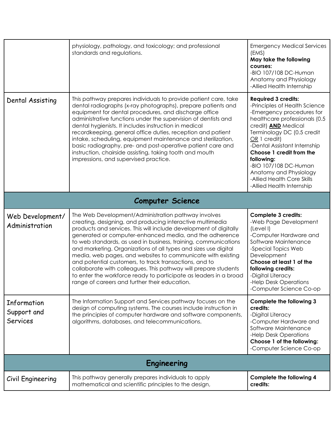|                                               | physiology, pathology, and toxicology; and professional<br>standards and regulations.                                                                                                                                                                                                                                                                                                                                                                                                                                                                                                                                                                                                                    | <b>Emergency Medical Services</b><br>(EMS)<br>May take the following<br>courses:<br>-BIO 107/108 DC-Human<br>Anatomy and Physiology<br>-Allied Health Internship                                                                                                                                                                                                                              |
|-----------------------------------------------|----------------------------------------------------------------------------------------------------------------------------------------------------------------------------------------------------------------------------------------------------------------------------------------------------------------------------------------------------------------------------------------------------------------------------------------------------------------------------------------------------------------------------------------------------------------------------------------------------------------------------------------------------------------------------------------------------------|-----------------------------------------------------------------------------------------------------------------------------------------------------------------------------------------------------------------------------------------------------------------------------------------------------------------------------------------------------------------------------------------------|
| Dental Assisting                              | This pathway prepares individuals to provide patient care, take<br>dental radiographs (x-ray photographs), prepare patients and<br>equipment for dental procedures, and discharge office<br>administrative functions under the supervision of dentists and<br>dental hygienists. It includes instruction in medical<br>recordkeeping, general office duties, reception and patient<br>intake, scheduling, equipment maintenance and sterilization,<br>basic radiography, pre- and post-operative patient care and<br>instruction, chairside assisting, taking tooth and mouth<br>impressions, and supervised practice.                                                                                   | <b>Required 3 credits:</b><br>-Principles of Health Science<br>-Emergency procedures for<br>healthcare professionals (0.5<br>credit) <b>AND</b> Medical<br>Terminology DC (0.5 credit<br>OR 1 credit)<br>-Dental Assistant Internship<br>Choose 1 credit from the<br>following:<br>-BIO 107/108 DC-Human<br>Anatomy and Physiology<br>-Allied Health Core Skills<br>-Allied Health Internship |
| <b>Computer Science</b>                       |                                                                                                                                                                                                                                                                                                                                                                                                                                                                                                                                                                                                                                                                                                          |                                                                                                                                                                                                                                                                                                                                                                                               |
| Web Development/<br>Administration            | The Web Development/Administration pathway involves<br>creating, designing, and producing interactive multimedia<br>products and services. This will include development of digitally<br>generated or computer-enhanced media, and the adherence<br>to web standards, as used in business, training, communications<br>and marketing. Organizations of all types and sizes use digital<br>media, web pages, and websites to communicate with existing<br>and potential customers, to track transactions, and to<br>collaborate with colleagues. This pathway will prepare students<br>to enter the workforce ready to participate as leaders in a broad<br>range of careers and further their education. | <b>Complete 3 credits:</b><br>-Web Page Development<br>(Level I)<br>-Computer Hardware and<br>Software Maintenance<br>-Special Topics Web<br>Development<br>Choose at least 1 of the<br>following credits:<br>-Digital Literacy<br>-Help Desk Operations<br>-Computer Science Co-op                                                                                                           |
| Information<br>Support and<br><b>Services</b> | The Information Support and Services pathway focuses on the<br>design of computing systems. The courses include instruction in<br>the principles of computer hardware and software components,<br>algorithms, databases, and telecommunications.                                                                                                                                                                                                                                                                                                                                                                                                                                                         | Complete the following 3<br>credits:<br>-Digital Literacy<br>-Computer Hardware and<br>Software Maintenance<br>-Help Desk Operations<br>Choose 1 of the following:<br>-Computer Science Co-op                                                                                                                                                                                                 |
| Engineering                                   |                                                                                                                                                                                                                                                                                                                                                                                                                                                                                                                                                                                                                                                                                                          |                                                                                                                                                                                                                                                                                                                                                                                               |
| Civil Engineering                             | This pathway generally prepares individuals to apply<br>mathematical and scientific principles to the design,                                                                                                                                                                                                                                                                                                                                                                                                                                                                                                                                                                                            | Complete the following 4<br>credits:                                                                                                                                                                                                                                                                                                                                                          |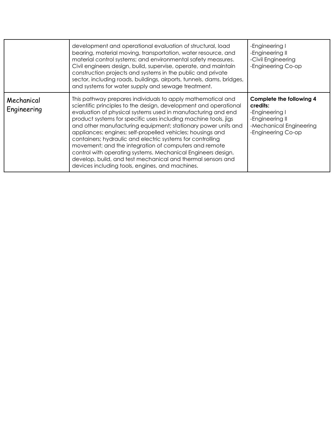|                           | development and operational evaluation of structural, load<br>bearing, material moving, transportation, water resource, and<br>material control systems; and environmental safety measures.<br>Civil engineers design, build, supervise, operate, and maintain<br>construction projects and systems in the public and private<br>sector, including roads, buildings, airports, tunnels, dams, bridges,<br>and systems for water supply and sewage treatment.                                                                                                                                                                                                                                               | -Engineering I<br>-Engineering II<br>-Civil Engineering<br>-Engineering Co-op                                              |
|---------------------------|------------------------------------------------------------------------------------------------------------------------------------------------------------------------------------------------------------------------------------------------------------------------------------------------------------------------------------------------------------------------------------------------------------------------------------------------------------------------------------------------------------------------------------------------------------------------------------------------------------------------------------------------------------------------------------------------------------|----------------------------------------------------------------------------------------------------------------------------|
| Mechanical<br>Engineering | This pathway prepares individuals to apply mathematical and<br>scientific principles to the design, development and operational<br>evaluation of physical systems used in manufacturing and end<br>product systems for specific uses including machine tools, jigs<br>and other manufacturing equipment; stationary power units and<br>appliances; engines; self-propelled vehicles; housings and<br>containers; hydraulic and electric systems for controlling<br>movement; and the integration of computers and remote<br>control with operating systems. Mechanical Engineers design,<br>develop, build, and test mechanical and thermal sensors and<br>devices including tools, engines, and machines. | Complete the following 4<br>credits:<br>-Engineering I<br>-Engineering II<br>-Mechanical Engineering<br>-Engineering Co-op |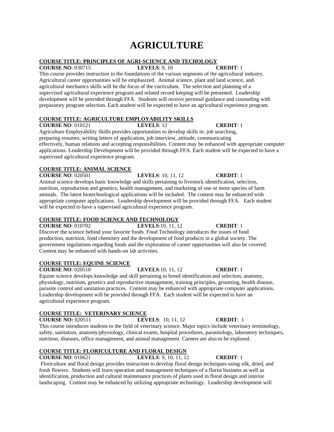# **AGRICULTURE**

# **COURSE TITLE: PRINCIPLES OF AGRI-SCIENCE AND TECHOLOGY**

**COURSE NO**: 030715 **LEVELS**: 9, 10 **CREDIT**: 1 This course provides instruction in the foundations of the various segments of the agricultural industry. Agricultural career opportunities will be emphasized. Animal science, plant and land science, and agricultural mechanics skills will be the focus of the curriculum. The selection and planning of a supervised agricultural experience program and related record keeping will be presented. Leadership development will be provided through FFA. Students will receive personal guidance and counseling with preparatory program selection. Each student will be expected to have an agricultural experience program.

# **COURSE TITLE: AGRICULTURE EMPLOYABILITY SKILLS**

**COURSE NO**: 010121 **LEVELS**: 12 **CREDIT**: 1 Agriculture Employability Skills provides opportunities to develop skills in: job searching, preparing resumes, writing letters of application, job interview, attitude, communicating effectively, human relations and accepting responsibilities. Content may be enhanced with appropriate computer applications. Leadership Development will be provided through FFA. Each student will be expected to have a supervised agricultural experience program.

# **COURSE TITLE: ANIMAL SCIENCE**

**COURSE NO**: 020501 **LEVELS**: 10, 11, 12 **CREDIT**: 1 Animal science develops basic knowledge and skills pertaining to livestock identification, selection, nutrition, reproduction and genetics, health management, and marketing of one or more species of farm animals. The latest biotechnological applications will be included. The content may be enhanced with appropriate computer applications. Leadership development will be provided through FFA. Each student will be expected to have a supervised agricultural experience program.

### **COURSE TITLE: FOOD SCIENCE AND TECHNOLOGY**

**COURSE NO**: 010702 **LEVELS**:10, 11, 12 **CREDIT**: 1 Discover the science behind your favorite foods. Food Technology introduces the issues of food production, nutrition, food chemistry and the development of food products in a global society. The government regulations regarding foods and the exploration of career opportunities will also be covered. Content may be enhanced with hands-on lab activities.

### **COURSE TITLE: EQUINE SCIENCE**

**COURSE NO**: 020510 **LEVELS**:10, 11, 12 **CREDIT**: 1 Equine science develops knowledge and skill pertaining to breed identification and selection, anatomy, physiology, nutrition, genetics and reproductive management, training principles, grooming, health disease, parasite control and sanitation practices. Content may be enhanced with appropriate computer applications. Leadership development will be provided through FFA. Each student will be expected to have an agricultural experience program.

# **COURSE TITLE: VETERINARY SCIENCE**

**COURSE NO:** 020511 **LEVELS**: 10, 11, 12 **CREDIT**: 1

This course introduces students to the field of veterinary science. Major topics include veterinary terminology, safety, sanitation, anatomy/physiology, clinical exams, hospital procedures, parasitology, laboratory techniques, nutrition, diseases, office management, and animal management. Careers are also to be explored.

# **COURSE TITLE: FLORICULTURE AND FLORAL DESIGN**

**COURSE NO**: 010621 **LEVELS**: 9, 10, 11, 12 **CREDIT**: 1

Floriculture and floral design provides instruction to develop floral design techniques using silk, dried, and fresh flowers. Students will learn operation and management techniques of a florist business as well as identification, production and cultural maintenance practices of plants used in floral design and interior landscaping. Content may be enhanced by utilizing appropriate technology. Leadership development will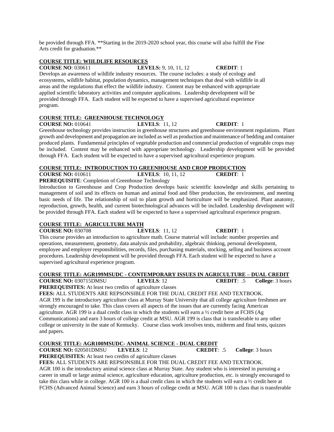be provided through FFA. \*\*Starting in the 2019-2020 school year, this course will also fulfill the Fine Arts credit for graduation.\*\*

# **COURSE TITLE: WIILDLIFE RESOURCES**

**COURSE NO**: 030611 **LEVELS:** 9, 10, 11, 12 **CREDIT**: 1

Develops an awareness of wildlife industry resources. The course includes: a study of ecology and ecosystems, wildlife habitat, population dynamics, management techniques that deal with wildlife in all areas and the regulations that effect the wildlife industry. Content may be enhanced with appropriate applied scientific laboratory activities and computer applications. Leadership development will be provided through FFA. Each student will be expected to have a supervised agricultural experience program.

# **COURSE TITLE: GREENHOUSE TECHNOLOGY**

**COURSE NO:** 010641 **LEVELS**: 11, 12 **CREDIT**: 1

Greenhouse technology provides instruction in greenhouse structures and greenhouse environment regulations. Plant growth and development and propagation are included as well as production and maintenance of bedding and container produced plants. Fundamental principles of vegetable production and commercial production of vegetable crops may be included. Content may be enhanced with appropriate technology. Leadership development will be provided through FFA. Each student will be expected to have a supervised agricultural experience program.

# **COURSE TITLE: INTRODUCTION TO GREENHOUSE AND CROP PRODUCTION**

| <b>COURSE NO: 010611</b> | <b>LEVELS:</b> 10, 11, 12 | <b>CREDIT:</b> |
|--------------------------|---------------------------|----------------|
|                          |                           |                |

**PREREQUISITE**: Completion of Greenhouse Technology

Introduction to Greenhouse and Crop Production develops basic scientific knowledge and skills pertaining to management of soil and its effects on human and animal food and fiber production, the environment, and meeting basic needs of life. The relationship of soil to plant growth and horticulture will be emphasized. Plant anatomy, reproduction, growth, health, and current biotechnological advances will be included. Leadership development will be provided through FFA. Each student will be expected to have a supervised agricultural experience program.

# **COURSE TITLE: AGRICULTURE MATH**

**COURSE NO:** 030708 **LEVELS**: 11, 12 **CREDIT**: 1

This course provides an introduction to agriculture math. Course material will include: number properties and operations, measurement, geometry, data analysis and probability, algebraic thinking, personal development, employee and employer responsibilities, records, files, purchasing materials, stocking, selling and business account procedures. Leadership development will be provided through FFA. Each student will be expected to have a supervised agricultural experience program.

### **COURSE TITLE: AGR199MSUDC - CONTEMPORARY ISSUES IN AGRICULTURE – DUAL CREDIT COURSE NO:** 030715DMSU **LEVELS**: 12 **CREDIT**: .5 **College**: 3 hours

**PREREQUISITES:** At least two credits of agriculture classes

**FEES:** ALL STUDENTS ARE REPSONSIBLE FOR THE DUAL CREDIT FEE AND TEXTBOOK. AGR 199 is the introductory agriculture class at Murray State University that all college agriculture freshmen are strongly encouraged to take. This class covers all aspects of the issues that are currently facing American agriculture. AGR 199 is a dual credit class in which the students will earn a  $\frac{1}{2}$  credit here at FCHS (Ag Communications) and earn 3 hours of college credit at MSU. AGR 199 is class that is transferable to any other college or university in the state of Kentucky. Course class work involves tests, midterm and final tests, quizzes and papers.

# **COURSE TITLE: AGR100MSUDC- ANIMAL SCIENCE - DUAL CREDIT**

**COURSE NO:** 020501DMSU **LEVELS**: 12 **CREDIT**: .5 **College**: 3 hours

**PREREQUISITES:** At least two credits of agriculture classes

**FEES:** ALL STUDENTS ARE REPSONSIBLE FOR THE DUAL CREDIT FEE AND TEXTBOOK.

AGR 100 is the introductory animal science class at Murray State. Any student who is interested in pursuing a career in small or large animal science, agriculture education, agriculture production, etc. is strongly encouraged to take this class while in college. AGR 100 is a dual credit class in which the students will earn a ½ credit here at FCHS (Advanced Animal Science) and earn 3 hours of college credit at MSU. AGR 100 is class that is transferable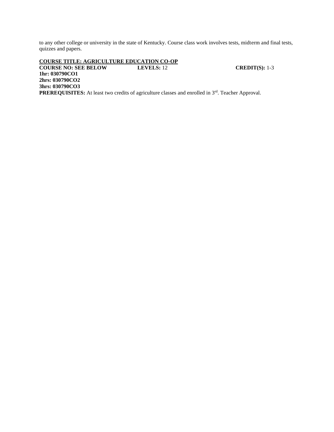to any other college or university in the state of Kentucky. Course class work involves tests, midterm and final tests, quizzes and papers.

**COURSE TITLE: AGRICULTURE EDUCATION CO-OP COURSE NO: SEE BELOW LEVELS:** 12 **CREDIT(S):** 1-3 **1hr: 030790CO1 2hrs: 030790CO2 3hrs: 030790CO3 PREREQUISITES:** At least two credits of agriculture classes and enrolled in 3<sup>rd</sup>. Teacher Approval.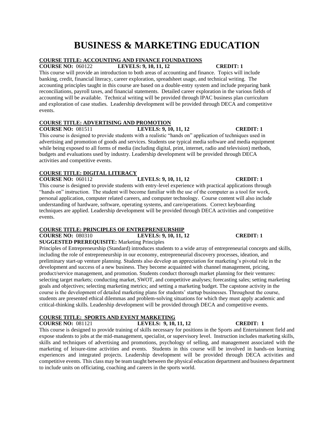# **BUSINESS & MARKETING EDUCATION**

# **COURSE TITLE: ACCOUNTING AND FINANCE FOUNDATIONS**

**COURSE NO:** 060122 **LEVELS: 9, 10, 11, 12 CREDIT: 1**

This course will provide an introduction to both areas of accounting and finance. Topics will include banking, credit, financial literacy, career exploration, spreadsheet usage, and technical writing. The accounting principles taught in this course are based on a double-entry system and include preparing bank reconciliations, payroll taxes, and financial statements. Detailed career exploration in the various fields of accounting will be available. Technical writing will be provided through IPAC business plan curriculum and exploration of case studies. Leadership development will be provided through DECA and competitive events.

# **COURSE TITLE: ADVERTISING AND PROMOTION**

**COUPSE 1 COUPSE 1 COUPSE 1 COUPSE 1 COUPSE 1 COUPSE 1 COUPSE 1** This course is designed to provide students with a realistic "hands on" application of techniques used in advertising and promotion of goods and services. Students use typical media software and media equipment while being exposed to all forms of media (including digital, print, internet, radio and television) methods, budgets and evaluations used by industry. Leadership development will be provided through DECA activities and competitive events.

# **COURSE TITLE: DIGITAL LITERACY**

**COURSE NO:** 060112 **LEVELS: 9, 10, 11, 12 CREDIT: 1**

This course is designed to provide students with entry-level experience with practical applications through "hands on" instruction. The student will become familiar with the use of the computer as a tool for work, personal application, computer related careers, and computer technology. Course content will also include understanding of hardware, software, operating systems, and care/operations. Correct keyboarding techniques are applied. Leadership development will be provided through DECA activities and competitive events.

# **COURSE TITLE: PRINCIPLES OF ENTREPRENEURSHIP**

**COURSE NO:** 080310 **LEVELS: 9, 10, 11, 12 CREDIT: 1 SUGGESTED PREREQUISITE:** Marketing Principles

Principles of Entrepreneurship (Standard) introduces students to a wide array of entrepreneurial concepts and skills, including the role of entrepreneurship in our economy, entrepreneurial discovery processes, ideation, and preliminary start-up venture planning. Students also develop an appreciation for marketing's pivotal role in the development and success of a new business. They become acquainted with channel management, pricing, product/service management, and promotion. Students conduct thorough market planning for their ventures: selecting target markets; conducting market, SWOT, and competitive analyses; forecasting sales; setting marketing goals and objectives; selecting marketing metrics; and setting a marketing budget. The capstone activity in the course is the development of detailed marketing plans for students' startup businesses. Throughout the course, students are presented ethical dilemmas and problem-solving situations for which they must apply academic and critical-thinking skills. Leadership development will be provided through DECA and competitive events.

# **COURSE TITLE: SPORTS AND EVENT MARKETING**

**COURSE NO:** 081121 **LEVELS: 9, 10, 11, 12 CREDIT: 1**

This course is designed to provide training of skills necessary for positions in the Sports and Entertainment field and expose students to jobs at the mid-management, specialist, or supervisory level. Instruction includes marketing skills, skills and techniques of advertising and promotions, psychology of selling, and management associated with the marketing of leisure-time activities and events. Students in this course will be involved in hands-on learning experiences and integrated projects. Leadership development will be provided through DECA activities and competitive events. This class may be team taught between the physical education department and business department to include units on officiating, coaching and careers in the sports world.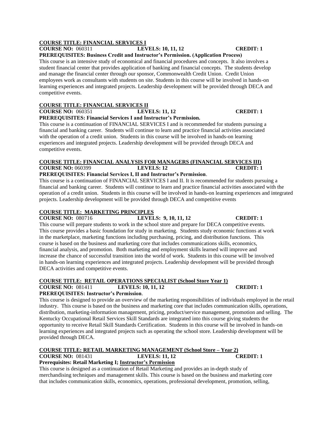# **COURSE TITLE: FINANCIAL SERVICES I**

# **COURSE NO:** 060311 **LEVELS: 10, 11, 12 CREDIT: 1**

**PREREQUISITES: Business Credit and Instructor's Permission. (Application Process)**

This course is an intensive study of economical and financial procedures and concepts. It also involves a student financial center that provides application of banking and financial concepts. The students develop and manage the financial center through our sponsor, Commonwealth Credit Union. Credit Union employees work as consultants with students on site. Students in this course will be involved in hands-on learning experiences and integrated projects. Leadership development will be provided through DECA and competitive events.

## **COURSE TITLE: FINANCIAL SERVICES II**

**COURSE NO:** 060351 **LEVELS: 11, 12 CREDIT: 1**

**PREREQUISITES: Financial Services I and Instructor's Permission.**

This course is a continuation of FINANCIAL SERVICES I and is recommended for students pursuing a financial and banking career. Students will continue to learn and practice financial activities associated with the operation of a credit union. Students in this course will be involved in hands-on learning experiences and integrated projects. Leadership development will be provided through DECA and competitive events.

### **COURSE TITLE: FINANCIAL ANALYSIS FOR MANAGERS (FINANCIAL SERVICES III) COURSE NO:** 060399 **LEVELS: 12 CREDIT: 1 PREREQUISITES: Financial Services I, II and Instructor's Permission**.

This course is a continuation of FINANCIAL SERVICES I and II. It is recommended for students pursuing a financial and banking career. Students will continue to learn and practice financial activities associated with the operation of a credit union. Students in this course will be involved in hands-on learning experiences and integrated projects. Leadership development will be provided through DECA and competitive events

# **COURSE TITLE: MARKETING PRINCIPLES**

**COURSE NO:** 080716 **LEVELS: 9, 10, 11, 12 CREDIT: 1** This course will prepare students to work in the school store and prepare for DECA competitive events. This course provides a basic foundation for study in marketing. Students study economic functions at work in the marketplace, marketing functions including purchasing, pricing, and distribution functions. This course is based on the business and marketing core that includes communications skills, economics, financial analysis, and promotion. Both marketing and employment skills learned will improve and increase the chance of successful transition into the world of work. Students in this course will be involved in hands-on learning experiences and integrated projects. Leadership development will be provided through DECA activities and competitive events.

# **COURSE TITLE: RETAIL OPERATIONS SPECIALIST (School Store Year 1)**

# **COURSE NO:** 081411 **LEVELS: 10, 11, 12 CREDIT: 1**

**PREREQUISITES: Instructor's Permission**.

This course is designed to provide an overview of the marketing responsibilities of individuals employed in the retail industry. This course is based on the business and marketing core that includes communication skills, operations, distribution, marketing-information management, pricing, product/service management, promotion and selling. The Kentucky Occupational Retail Services Skill Standards are integrated into this course giving students the opportunity to receive Retail Skill Standards Certification. Students in this course will be involved in hands-on learning experiences and integrated projects such as operating the school store. Leadership development will be provided through DECA.

### **COURSE TITLE: RETAIL MARKETING MANAGEMENT (School Store – Year 2) COURSE NO:** 081431 **LEVELS: 11, 12 CREDIT: 1**

# **Prerequisites: Retail Marketing I; Instructor's Permission**

This course is designed as a continuation of Retail Marketing and provides an in-depth study of merchandising techniques and management skills. This course is based on the business and marketing core that includes communication skills, economics, operations, professional development, promotion, selling,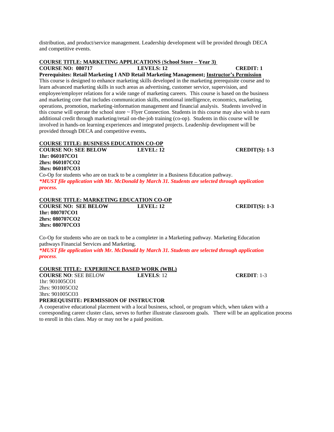distribution, and product/service management. Leadership development will be provided through DECA and competitive events.

# **COURSE TITLE: MARKETING APPLICATIONS** (**School Store – Year 3)**

**COURSE NO: 080717 LEVELS: 12 CREDIT: 1** 

**Prerequisites: Retail Marketing I AND Retail Marketing Management; Instructor's Permission**  This course is designed to enhance marketing skills developed in the marketing prerequisite course and to learn advanced marketing skills in such areas as advertising, customer service, supervision, and employee/employer relations for a wide range of marketing careers. This course is based on the business and marketing core that includes communication skills, emotional intelligence, economics, marketing, operations, promotion, marketing-information management and financial analysis. Students involved in this course will operate the school store ~ Flyer Connection. Students in this course may also wish to earn additional credit through marketing/retail on-the-job training (co-op). Students in this course will be involved in hands-on learning experiences and integrated projects. Leadership development will be provided through DECA and competitive events**.**

# **COURSE TITLE: BUSINESS EDUCATION CO-OP**

**COURSE NO: SEE BELOW LEVEL: 12 CREDIT(S): 1-3 1hr: 060107CO1 2hrs: 060107CO2 3hrs: 060107CO3** Co-Op for students who are on track to be a completer in a Business Education pathway. *\*MUST file application with Mr. McDonald by March 31. Students are selected through application process.*

# **COURSE TITLE: MARKETING EDUCATION CO-OP**

**COURSE NO: SEE BELOW LEVEL: 12 CREDIT(S): 1-3 1hr: 080707CO1 2hrs: 080707CO2 3hrs: 080707CO3**

Co-Op for students who are on track to be a completer in a Marketing pathway. Marketing Education pathways Financial Services and Marketing.

*\*MUST file application with Mr. McDonald by March 31. Students are selected through application process.*

# **COURSE TITLE: EXPERIENCE BASED WORK (WBL)**

**COURSE NO**: SEE BELOW **LEVELS**: 12 **CREDIT**: 1-3 1hr: 901005CO1 2hrs: 901005CO2 3hrs: 901005CO3

### **PREREQUISITE: PERMISSION OF INSTRUCTOR**

A cooperative educational placement with a local business, school, or program which, when taken with a corresponding career cluster class, serves to further illustrate classroom goals. There will be an application process to enroll in this class. May or may not be a paid position.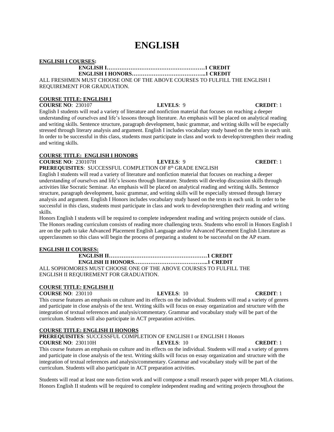# **ENGLISH**

### **ENGLISH I COURSES:**

**ENGLISH I………………………………………………1 CREDIT**

### **ENGLISH I HONORS…………………………………..1 CREDIT**

ALL FRESHMEN MUST CHOOSE ONE OF THE ABOVE COURSES TO FULFILL THE ENGLISH I REQUIREMENT FOR GRADUATION.

# **COURSE TITLE: ENGLISH I**

**COURSE NO**: 230107 **LEVELS**: 9 **CREDIT**: 1

English I students will read a variety of literature and nonfiction material that focuses on reaching a deeper understanding of ourselves and life's lessons through literature. An emphasis will be placed on analytical reading and writing skills. Sentence structure, paragraph development, basic grammar, and writing skills will be especially stressed through literary analysis and argument. English I includes vocabulary study based on the texts in each unit. In order to be successful in this class, students must participate in class and work to develop/strengthen their reading and writing skills.

# **COURSE TITLE: ENGLISH I HONORS**

**COURSE NO**: 230107H **LEVELS**: 9 **CREDIT**: 1

**PREREQUISITES: SUCCESSFUL COMPLETION OF 8th GRADE ENGLISH** 

English I students will read a variety of literature and nonfiction material that focuses on reaching a deeper understanding of ourselves and life's lessons through literature. Students will develop discussion skills through activities like Socratic Seminar. An emphasis will be placed on analytical reading and writing skills. Sentence structure, paragraph development, basic grammar, and writing skills will be especially stressed through literary analysis and argument. English I Honors includes vocabulary study based on the texts in each unit. In order to be successful in this class, students must participate in class and work to develop/strengthen their reading and writing skills.

Honors English I students will be required to complete independent reading and writing projects outside of class. The Honors reading curriculum consists of reading more challenging texts. Students who enroll in Honors English I are on the path to take Advanced Placement English Language and/or Advanced Placement English Literature as upperclassmen so this class will begin the process of preparing a student to be successful on the AP exam.

## **ENGLISH II COURSES:**

# **ENGLISH II………………………………………………1 CREDIT ENGLISH II HONORS…………………………………..1 CREDIT** ALL SOPHOMORES MUST CHOOSE ONE OF THE ABOVE COURSES TO FULFILL THE ENGLISH II REQUIREMENT FOR GRADUATION.

# **COURSE TITLE: ENGLISH II**

**COURSE NO**: 230110 **LEVELS**: 10 **CREDIT**: 1

This course features an emphasis on culture and its effects on the individual. Students will read a variety of genres and participate in close analysis of the text. Writing skills will focus on essay organization and structure with the integration of textual references and analysis/commentary. Grammar and vocabulary study will be part of the curriculum. Students will also participate in ACT preparation activities.

# **COURSE TITLE: ENGLISH II HONORS**

**PREREQUISITES**: SUCCESSFUL COMPLETION OF ENGLISH I or ENGLISH I Honors

**COURSE NO**: 230110H **LEVELS**: 10 **CREDIT**: 1 This course features an emphasis on culture and its effects on the individual. Students will read a variety of genres and participate in close analysis of the text. Writing skills will focus on essay organization and structure with the integration of textual references and analysis/commentary. Grammar and vocabulary study will be part of the curriculum. Students will also participate in ACT preparation activities.

Students will read at least one non-fiction work and will compose a small research paper with proper MLA citations. Honors English II students will be required to complete independent reading and writing projects throughout the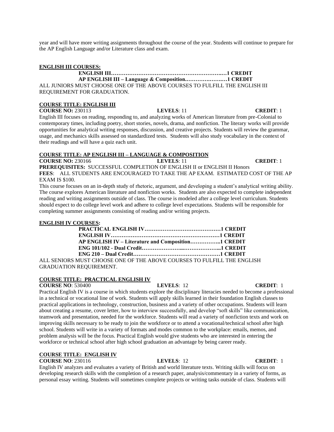year and will have more writing assignments throughout the course of the year. Students will continue to prepare for the AP English Language and/or Literature class and exam.

## **ENGLISH III COURSES:**

### **ENGLISH III…………………………………………………….…1 CREDIT AP ENGLISH III – Language & Composition.………….…….…1 CREDIT**

ALL JUNIORS MUST CHOOSE ONE OF THE ABOVE COURSES TO FULFILL THE ENGLISH III REQUIREMENT FOR GRADUATION.

### **COURSE TITLE: ENGLISH III**

**COURSE NO:** 230113 **LEVELS**: 11 **CREDIT**: 1

English III focuses on reading, responding to, and analyzing works of American literature from pre-Colonial to contemporary times, including poetry, short stories, novels, drama, and nonfiction. The literary works will provide opportunities for analytical writing responses, discussion, and creative projects. Students will review the grammar, usage, and mechanics skills assessed on standardized tests. Students will also study vocabulary in the context of their readings and will have a quiz each unit.

# **COURSE TITLE: AP ENGLISH III – LANGUAGE & COMPOSITION**

**COURSE NO:** 230166 **LEVELS**: 11 **CREDIT**: 1 **PREREQUISITES:** SUCCESSFUL COMPLETION OF ENGLISH II or ENGLISH II Honors **FEES**: ALL STUDENTS ARE ENCOURAGED TO TAKE THE AP EXAM. ESTIMATED COST OF THE AP EXAM IS \$100.

This course focuses on an in-depth study of rhetoric, argument, and developing a student's analytical writing ability. The course explores American literature and nonfiction works. Students are also expected to complete independent reading and writing assignments outside of class. The course is modeled after a college level curriculum. Students should expect to do college level work and adhere to college level expectations. Students will be responsible for completing summer assignments consisting of reading and/or writing projects.

### **ENGLISH IV COURSES:**

| AP ENGLISH IV - Literature and Composition CREDIT         |  |
|-----------------------------------------------------------|--|
|                                                           |  |
|                                                           |  |
| ITIET CHOOSE ONE OF THE A DOVE COUDSES TO FULFILL THE ENC |  |

ALL SENIORS MUST CHOOSE ONE OF THE ABOVE COURSES TO FULFILL THE ENGLISH GRADUATION REQUIREMENT.

# **COURSE TITLE: PRACTICAL ENGLISH IV**

**COURSE NO**: 530400 **LEVELS**: 12 **CREDIT**: 1

Practical English IV is a course in which students explore the disciplinary literacies needed to become a professional in a technical or vocational line of work. Students will apply skills learned in their foundation English classes to practical applications in technology, construction, business and a variety of other occupations. Students will learn about creating a resume, cover letter, how to interview successfully, and develop "soft skills" like communication, teamwork and presentation, needed for the workforce. Students will read a variety of nonfiction texts and work on improving skills necessary to be ready to join the workforce or to attend a vocational/technical school after high school. Students will write in a variety of formats and modes common to the workplace: emails, memos, and problem analysis will be the focus. Practical English would give students who are interested in entering the workforce or technical school after high school graduation an advantage by being career ready.

# **COURSE TITLE: ENGLISH IV**

**COURSE NO**: 230116 **LEVELS**: 12 **CREDIT**: 1

English IV analyzes and evaluates a variety of British and world literature texts. Writing skills will focus on developing research skills with the completion of a research paper, analysis/commentary in a variety of forms, as personal essay writing. Students will sometimes complete projects or writing tasks outside of class. Students will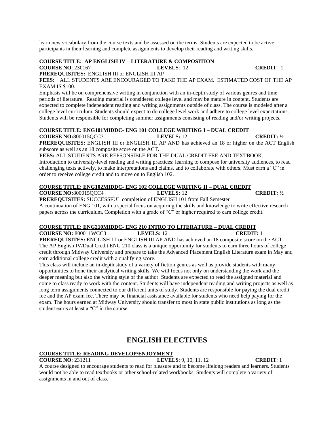learn new vocabulary from the course texts and be assessed on the terms. Students are expected to be active participants in their learning and complete assignments to develop their reading and writing skills.

# **COURSE TITLE: AP ENGLISH IV – LITERATURE & COMPOSITION**

**COURSE NO**: 230167 **LEVELS**: 12 **CREDIT**: 1

**PREREQUISITES:** ENGLISH III or ENGLISH III AP

**FEES**: ALL STUDENTS ARE ENCOURAGED TO TAKE THE AP EXAM. ESTIMATED COST OF THE AP EXAM IS \$100.

Emphasis will be on comprehensive writing in conjunction with an in-depth study of various genres and time periods of literature. Reading material is considered college level and may be mature in content. Students are expected to complete independent reading and writing assignments outside of class. The course is modeled after a college level curriculum. Students should expect to do college level work and adhere to college level expectations. Students will be responsible for completing summer assignments consisting of reading and/or writing projects.

# **COURSE TITLE: ENG101MIDDC- ENG 101 COLLEGE WRITING I – DUAL CREDIT**

**COURSE NO:**800015QCC3 **LEVELS:** 12 **CREDIT:** ½

**PREREQUISITES:** ENGLISH III or ENGLISH III AP AND has achieved an 18 or higher on the ACT English subscore as well as an 18 composite score on the ACT.

**FEES:** ALL STUDENTS ARE REPSONSIBLE FOR THE DUAL CREDIT FEE AND TEXTBOOK. Introduction to university-level reading and writing practices: learning to compose for university audiences, to read challenging texts actively, to make interpretations and claims, and to collaborate with others. Must earn a "C" in order to receive college credit and to move on to English 102.

# **COURSE TITLE: ENG102MIDDC- ENG 102 COLLEGE WRITING II – DUAL CREDIT**

**COURSE NO:**800015QCC4 **LEVELS:** 12 **CREDIT:** ½

**PREREQUISITES:** SUCCESSFUL completion of ENGLISH 101 from Fall Semester A continuation of ENG 101, with a special focus on acquiring the skills and knowledge to write effective research papers across the curriculum. Completion with a grade of "C" or higher required to earn college credit.

# **COURSE TITLE: ENG210MIDDC- ENG 210 INTRO TO LITERATURE – DUAL CREDIT**

**COURSE NO:** 800011WCC3 **LEVELS:** 12 **CREDIT:** 1 **PREREQUISITES:** ENGLISH III or ENGLISH III AP AND has achieved an 18 composite score on the ACT. The AP English IV/Dual Credit ENG 210 class is a unique opportunity for students to earn three hours of college credit through Midway University and prepare to take the Advanced Placement English Literature exam in May and earn additional college credit with a qualifying score.

This class will include an in-depth study of a variety of fiction genres as well as provide students with many opportunities to hone their analytical writing skills. We will focus not only on understanding the work and the deeper meaning but also the writing style of the author. Students are expected to read the assigned material and come to class ready to work with the content. Students will have independent reading and writing projects as well as long term assignments connected to our different units of study. Students are responsible for paying the dual credit fee and the AP exam fee. There may be financial assistance available for students who need help paying for the exam. The hours earned at Midway University should transfer to most in state public institutions as long as the student earns at least a "C" in the course.

# **ENGLISH ELECTIVES**

# **COURSE TITLE: READING DEVELOP/ENJOYMENT**

**COURSE NO**: 231211 **LEVELS**: 9, 10, 11, 12 **CREDIT**: 1

A course designed to encourage students to read for pleasure and to become lifelong readers and learners. Students would not be able to read textbooks or other school-related workbooks. Students will complete a variety of assignments in and out of class.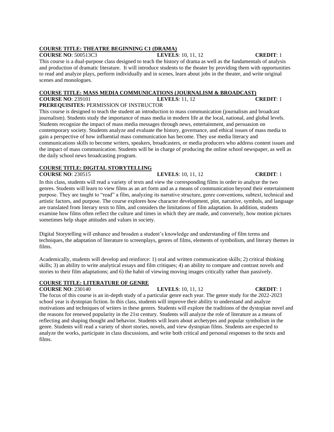### **COURSE TITLE: THEATRE BEGINNING C1 (DRAMA)**

**COURSE NO**: 500513C3 **LEVELS**: 10, 11, 12 **CREDIT**: 1 This course is a dual-purpose class designed to teach the history of drama as well as the fundamentals of analysis and production of dramatic literature. It will introduce students to the theater by providing them with opportunities to read and analyze plays, perform individually and in scenes, learn about jobs in the theater, and write original scenes and monologues.

# **COURSE TITLE: MASS MEDIA COMMUNICATIONS (JOURNALISM & BROADCAST) COURSE NO**: 239101 **LEVELS**: 11, 12 **CREDIT**: 1

**PREREQUISITES:** PERMISSION OF INSTRUCTOR

This course is designed to teach the student an introduction to mass communication (journalism and broadcast journalism). Students study the importance of mass media in modern life at the local, national, and global levels. Students recognize the impact of mass media messages through news, entertainment, and persuasion on contemporary society. Students analyze and evaluate the history, governance, and ethical issues of mass media to gain a perspective of how influential mass communication has become. They use media literacy and communications skills to become writers, speakers, broadcasters, or media producers who address content issues and the impact of mass communication. Students will be in charge of producing the online school newspaper, as well as the daily school news broadcasting program.

# **COURSE TITLE: DIGITAL STORYTELLING**

**COURSE NO**: 230515 **LEVELS**: 10, 11, 12 **CREDIT**: 1

In this class, students will read a variety of texts and view the corresponding films in order to analyze the two genres. Students will learn to view films as an art form and as a means of communication beyond their entertainment purpose. They are taught to "read" a film, analyzing its narrative structure, genre conventions, subtext, technical and artistic factors, and purpose. The course explores how character development, plot, narrative, symbols, and language are translated from literary texts to film, and considers the limitations of film adaptation. In addition, students examine how films often reflect the culture and times in which they are made, and conversely, how motion pictures sometimes help shape attitudes and values in society.

Digital Storytelling will enhance and broaden a student's knowledge and understanding of film terms and techniques, the adaptation of literature to screenplays, genres of films, elements of symbolism, and literary themes in films.

Academically, students will develop and reinforce: 1) oral and written communication skills; 2) critical thinking skills; 3) an ability to write analytical essays and film critiques; 4) an ability to compare and contrast novels and stories to their film adaptations; and 6) the habit of viewing moving images critically rather than passively.

# **COURSE TITLE: LITERATURE OF GENRE**

**COURSE NO**: 230140 **LEVELS**: 10, 11, 12 **CREDIT**: 1 The focus of this course is an in-depth study of a particular genre each year. The genre study for the 2022-2023 school year is dystopian fiction. In this class, students will improve their ability to understand and analyze motivations and techniques of writers in these genres. Students will explore the traditions of the dystopian novel and the reasons for renewed popularity in the 21st century. Students will analyze the role of literature as a means of reflecting and shaping thought and behavior. Students will learn about archetypes and popular symbolism in the genre. Students will read a variety of short stories, novels, and view dystopian films. Students are expected to analyze the works, participate in class discussions, and write both critical and personal responses to the texts and films.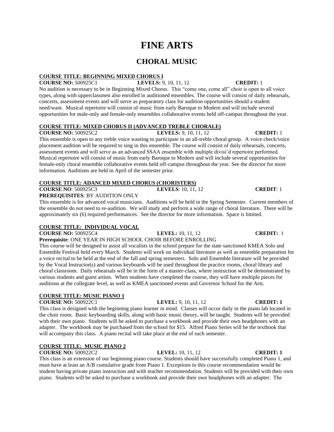# **FINE ARTS**

# **CHORAL MUSIC**

# **COURSE TITLE: BEGINNING MIXED CHORUS I**

**COURSE NO:** 500925C1 **LEVELS:** 9, 10, 11, 12 **CREDIT:** 1 No audition is necessary to be in Beginning Mixed Chorus. This "come one, come all" choir is open to all voice types, along with upperclassmen also enrolled in auditioned ensembles. The course will consist of daily rehearsals, concerts, assessment events and will serve as preparatory class for audition opportunities should a student need/want. Musical repertoire will consist of music from early Baroque to Modern and will include several opportunities for male-only and female-only ensembles collaborative events held off-campus throughout the year.

# **COURSE TITLE: MIXED CHORUS II (ADVANCED TREBLE CHORALE)**

**COURSE NO:** 500925C2 **LEVELS:** 9, 10, 11, 12 **CREDIT:** 1 This ensemble is open to any treble voice wanting to participate in an all-treble choral group. A voice check/voice placement audition will be required to sing in this ensemble. The course will consist of daily rehearsals, concerts, assessment events and will serve as an advanced SSAA ensemble with multiple divisi'd repertoire performed. Musical repertoire will consist of music from early Baroque to Modern and will include several opportunities for female-only choral ensemble collaborative events held off-campus throughout the year. See the director for more information. Auditions are held in April of the semester prior.

# **COURSE TITLE: ADANCED MIXED CHORUS (CHORISTERS)**<br>COURSE NO: 500925C3 LEVELS: 10, 11, 12

# **COURSE NO**: 500925C3 **LEVELS**: 10, 11, 12 **CREDIT**: 1

**PREREQUISITES**: BY AUDITION ONLY

This ensemble is for advanced vocal musicians. Auditions will be held in the Spring Semester. Current members of the ensemble do not need to re-audition. We will study and perform a wide range of choral literature. There will be approximately six (6) required performances. See the director for more information. Space is limited.

# **COURSE TITLE: INDIVIDUAL VOCAL**

**COURSE NO:** 500925C4 **LEVEL:** 10, 11, 12 **CREDIT:** 1

**Prerequisite**: ONE YEAR IN HIGH SCHOOL CHOIR BEFORE ENROLLING This course will be designed to assist all vocalists in the school prepare for the state sanctioned KMEA Solo and

Ensemble Festival held every March. Students will work on individual literature as well as ensemble preparation for a voice recital to be held at the end of the fall and spring semesters. Solo and Ensemble literature will be provided by the Vocal Instructor(s) and various keyboards will be used throughout the practice rooms, choral library and choral classroom. Daily rehearsals will be in the form of a master-class, where instruction will be demonstrated by various students and guest artists. When students have completed the course, they will have multiple pieces for auditions at the collegiate level, as well as KMEA sanctioned events and Governor School for the Arts.

# **COURSE TITLE: MUSIC PIANO 1**

**COURSE NO:** 500922C1 **LEVEL:** 9, 10, 11, 12 **CREDIT: 1**

This class is designed with the beginning piano learner in mind. Classes will occur daily in the piano lab located in the choir room. Basic keyboarding skills, along with basic music theory, will be taught. Students will be provided with their own piano. Students will be asked to purchase a workbook and provide their own headphones with an adapter. The workbook may be purchased from the school for \$15. Alfred Piano Series will be the textbook that will accompany this class. A piano recital will take place at the end of each semester.

# **COURSE TITLE: MUSIC PIANO 2**

**COURSE NO:** 500922C2 **LEVEL:** 10, 11, 12 **CREDIT: 1**

This class is an extension of our beginning piano course. Students should have successfully completed Piano 1, and must have at least an A/B cumulative grade from Piano 1. Exceptions to this course recommendation would be student having private piano instruction and with teacher recommendation. Students will be provided with their own piano. Students will be asked to purchase a workbook and provide their own headphones with an adapter. The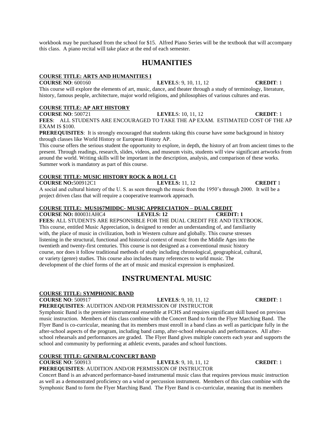workbook may be purchased from the school for \$15. Alfred Piano Series will be the textbook that will accompany this class. A piano recital will take place at the end of each semester.

# **HUMANITIES**

### **COURSE TITLE: ARTS AND HUMANITIES I**

**COURSE NO**: 600160 **LEVEL**S: 9, 10, 11, 12 **CREDIT**: 1 This course will explore the elements of art, music, dance, and theater through a study of terminology, literature, history, famous people, architecture, major world religions, and philosophies of various cultures and eras.

# **COURSE TITLE: AP ART HISTORY**

**COURSE NO**: 500721 **LEVEL**S: 10, 11, 12 **CREDIT**: 1 **FEES**: ALL STUDENTS ARE ENCOURAGED TO TAKE THE AP EXAM. ESTIMATED COST OF THE AP EXAM IS \$100.

**PREREQUISITES:** It is strongly encouraged that students taking this course have some background in history through classes like World History or European History AP.

This course offers the serious student the opportunity to explore, in depth, the history of art from ancient times to the present. Through readings, research, slides, videos, and museum visits, students will view significant artworks from around the world. Writing skills will be important in the description, analysis, and comparison of these works. Summer work is mandatory as part of this course.

# **COURSE TITLE: MUSIC HISTORY ROCK & ROLL C1**

**COURSE NO:**500912C1 **LEVELS:** 11, 12 **CREDIT** 1 A social and cultural history of the U. S. as seen through the music from the 1950's through 2000. It will be a project driven class that will require a cooperative teamwork approach.

### **COURSE TITLE: MUS167MIDDC- MUSIC APPRECIATION – DUAL CREDIT**

**COURSE NO:** 800031AHC4 **LEVELS: 12 CREDIT: 1 FEES:** ALL STUDENTS ARE REPSONSIBLE FOR THE DUAL CREDIT FEE AND TEXTBOOK. This course, entitled Music Appreciation, is designed to render an understanding of, and familiarity with, the place of music in civilization, both in Western culture and globally. This course stresses listening in the structural, functional and historical context of music from the Middle Ages into the twentieth and twenty-first centuries. This course is not designed as a conventional music history course, nor does it follow traditional methods of study including chronological, geographical, cultural, or variety (genre) studies. This course also includes many references to world music. The development of the chief forms of the art of music and musical expression is emphasized.

# **INSTRUMENTAL MUSIC**

### **COURSE TITLE: SYMPHONIC BAND**

**COURSE NO**: 500917 **LEVELS**: 9, 10, 11, 12 **CREDIT**: 1

**PREREQUISITES**: AUDITION AND/OR PERMISSION OF INSTRUCTOR Symphonic Band is the premiere instrumental ensemble at FCHS and requires significant skill based on previous music instruction. Members of this class combine with the Concert Band to form the Flyer Marching Band. The Flyer Band is co-curricular, meaning that its members must enroll in a band class as well as participate fully in the after-school aspects of the program, including band camp, after-school rehearsals and performances. All afterschool rehearsals and performances are graded. The Flyer Band gives multiple concerts each year and supports the school and community by performing at athletic events, parades and school functions.

### **COURSE TITLE: GENERAL/CONCERT BAND**

**COURSE NO**: 500913 **LEVELS**: 9, 10, 11, 12 **CREDIT**: 1 **PREREQUISITES**: AUDITION AND/OR PERMISSION OF INSTRUCTOR

Concert Band is an advanced performance-based instrumental music class that requires previous music instruction as well as a demonstrated proficiency on a wind or percussion instrument. Members of this class combine with the Symphonic Band to form the Flyer Marching Band. The Flyer Band is co-curricular, meaning that its members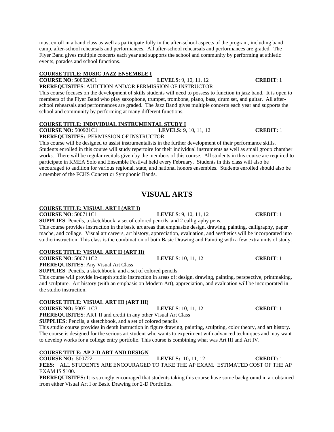# **COURSE TITLE: MUSIC JAZZ ENSEMBLE I**

### **COURSE NO**: 500920C1 **LEVELS**: 9, 10, 11, 12 **CREDIT**: 1 **PREREQUISITES**: AUDITION AND/OR PERMISSION OF INSTRUCTOR

This course focuses on the development of skills students will need to possess to function in jazz band. It is open to members of the Flyer Band who play saxophone, trumpet, trombone, piano, bass, drum set, and guitar. All afterschool rehearsals and performances are graded. The Jazz Band gives multiple concerts each year and supports the school and community by performing at many different functions.

# **COURSE TITLE: INDIVIDUAL INSTRUMENTAL STUDY I**

### **COURSE NO:** 500921C1 **LEVELS:** 9, 10, 11, 12 **CREDIT:** 1 **PREREQUISITES:** PERMISSION OF INSTRUCTOR

This course will be designed to assist instrumentalists in the further development of their performance skills. Students enrolled in this course will study repertoire for their individual instruments as well as small group chamber works. There will be regular recitals given by the members of this course. All students in this course are required to participate in KMEA Solo and Ensemble Festival held every February. Students in this class will also be encouraged to audition for various regional, state, and national honors ensembles. Students enrolled should also be a member of the FCHS Concert or Symphonic Bands.

# **VISUAL ARTS**

# **COURSE TITLE: VISUAL ART I (ART I)**

**COURSE NO**: 500711C1 **LEVELS**: 9, 10, 11, 12 **CREDIT**: 1

**SUPPLIES**: Pencils, a sketchbook, a set of colored pencils, and 2 calligraphy pens.

This course provides instruction in the basic art areas that emphasize design, drawing, painting, calligraphy, paper mache, and collage. Visual art careers, art history, appreciation, evaluation, and aesthetics will be incorporated into studio instruction. This class is the combination of both Basic Drawing and Painting with a few extra units of study.

# **COURSE TITLE: VISUAL ART II (ART II)**

**COURSE NO**: 500711C2 **LEVELS**: 10, 11, 12 **CREDIT**: 1

**PREREQUISITES**: Any Visual Art Class

**SUPPLIES**: Pencils, a sketchbook, and a set of colored pencils.

This course will provide in-depth studio instruction in areas of: design, drawing, painting, perspective, printmaking, and sculpture. Art history (with an emphasis on Modern Art), appreciation, and evaluation will be incorporated in the studio instruction.

# **COURSE TITLE: VISUAL ART III (ART III)**

**COURSE NO:** 500711C3 **LEVELS**: 10, 11, 12 **CREDIT**: 1

**PREREQUISITES**: ART II and credit in any other Visual Art Class **SUPPLIES:** Pencils, a sketchbook, and a set of colored pencils

This studio course provides in depth instruction in figure drawing, painting, sculpting, color theory, and art history. The course is designed for the serious art student who wants to experiment with advanced techniques and may want to develop works for a college entry portfolio. This course is combining what was Art III and Art IV.

# **COURSE TITLE: AP 2-D ART AND DESIGN**

### **COURSE NO:** 500722 **LEVELS:** 10**,** 11, 12 **CREDIT:** 1 **FEES**: ALL STUDENTS ARE ENCOURAGED TO TAKE THE AP EXAM. ESTIMATED COST OF THE AP EXAM IS \$100.

**PREREQUISITES:** It is strongly encouraged that students taking this course have some background in art obtained from either Visual Art I or Basic Drawing for 2-D Portfolios.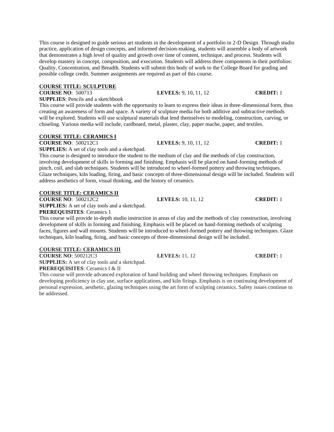This course is designed to guide serious art students in the development of a portfolio in 2-D Design. Through studio practice, application of design concepts, and informed decision-making, students will assemble a body of artwork that demonstrates a high level of quality and growth over time of content, technique, and process. Students will develop mastery in concept, composition, and execution. Students will address three components in their portfolios: Quality, Concentration, and Breadth. Students will submit this body of work to the College Board for grading and possible college credit. Summer assignments are required as part of this course.

# **COURSE TITLE: SCULPTURE**

**COURSE NO**: 500713 **LEVELS:** 9, 10, 11, 12 **CREDIT:** 1 **SUPPLIES**: Pencils and a sketchbook

This course will provide students with the opportunity to learn to express their ideas in three-dimensional form, thus creating an awareness of form and space. A variety of sculpture media for both additive and subtractive methods will be explored. Students will use sculptural materials that lend themselves to modeling, construction, carving, or chiseling. Various media will include, cardboard, metal, plaster, clay, paper mache, paper, and textiles.

# **COURSE TITLE: CERAMICS I**

**COURSE NO**: 500212C1 **LEVELS:** 9, 10, 11, 12 **CREDIT:** 1

**SUPPLIES:** A set of clay tools and a sketchpad.

This course is designed to introduce the student to the medium of clay and the methods of clay construction, involving development of skills in forming and finishing. Emphasis will be placed on hand-forming methods of pinch, coil, and slab techniques. Students will be introduced to wheel-formed pottery and throwing techniques. Glaze techniques, kiln loading, firing, and basic concepts of three-dimensional design will be included. Students will address aesthetics of form, visual thinking, and the history of ceramics.

# **COURSE TITLE: CERAMICS II**

**COURSE NO**: 500212C2 **LEVELS:** 10, 11, 12 **CREDIT:** 1

**SUPPLIES:** A set of clay tools and a sketchpad. **PREREQUISITES**: Ceramics 1

This course will provide in-depth studio instruction in areas of clay and the methods of clay construction, involving development of skills in forming and finishing. Emphasis will be placed on hand-forming methods of sculpting faces, figures and wall mounts. Students will be introduced to wheel-formed pottery and throwing techniques. Glaze techniques, kiln loading, firing, and basic concepts of three-dimensional design will be included.

# **COURSE TITLE: CERAMICS III**

**COURSE NO**: 500212C3 **LEVELS:** 11, 12 **CREDIT:** 1

**SUPPLIES:** A set of clay tools and a sketchpad. **PREREQUISITES**: Ceramics I & II

This course will provide advanced exploration of hand building and wheel throwing techniques. Emphasis on developing proficiency in clay use, surface applications, and kiln firings. Emphasis is on continuing development of personal expression, aesthetic, glazing techniques using the art form of sculpting ceramics. Safety issues continue to be addressed.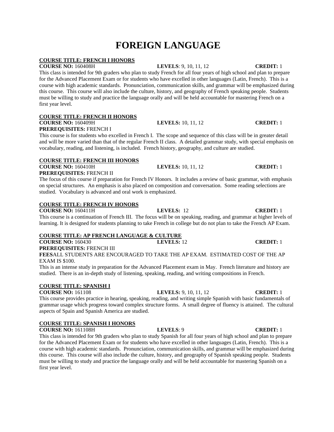# **FOREIGN LANGUAGE**

# **COURSE TITLE: FRENCH I HONORS**

# **COURSE NO:** 160408H **LEVELS**: 9, 10, 11, 12 **CREDIT:** 1

This class is intended for 9th graders who plan to study French for all four years of high school and plan to prepare for the Advanced Placement Exam or for students who have excelled in other languages (Latin, French). This is a course with high academic standards. Pronunciation, communication skills, and grammar will be emphasized during this course. This course will also include the culture, history, and geography of French speaking people. Students must be willing to study and practice the language orally and will be held accountable for mastering French on a first year level.

# **COURSE TITLE: FRENCH II HONORS**

### **COURSE NO:** 160409H **LEVELS:** 10, 11, 12 **CREDIT:** 1 **PREREQUISITES:** FRENCH I

This course is for students who excelled in French I. The scope and sequence of this class will be in greater detail and will be more varied than that of the regular French II class. A detailed grammar study, with special emphasis on vocabulary, reading, and listening, is included. French history, geography, and culture are studied.

# **COURSE TITLE: FRENCH III HONORS**

**COURSE NO:** 160410H **LEVELS:** 10, 11, 12 **CREDIT:** 1 **PREREQUISITES:** FRENCH II

The focus of this course if preparation for French IV Honors. It includes a review of basic grammar, with emphasis on special structures. An emphasis is also placed on composition and conversation. Some reading selections are studied. Vocabulary is advanced and oral work is emphasized.

# **COURSE TITLE: FRENCH IV HONORS**

**COURSE NO:** 160411H **LEVELS:** 12 **CREDIT:** 1

This course is a continuation of French III. The focus will be on speaking, reading, and grammar at higher levels of learning. It is designed for students planning to take French in college but do not plan to take the French AP Exam.

# **COURSE TITLE: AP FRENCH LANGUAGE & CULTURE**

**COURSE NO:** 160430 **LEVELS:** 12 **CREDIT:** 1 **PREREQUISITES:** FRENCH III

**FEES**ALL STUDENTS ARE ENCOURAGED TO TAKE THE AP EXAM. ESTIMATED COST OF THE AP EXAM IS \$100.

This is an intense study in preparation for the Advanced Placement exam in May. French literature and history are studied. There is an in-depth study of listening, speaking, reading, and writing compositions in French.

# **COURSE TITLE: SPANISH I**

# **COURSE NO:** 161108 **LEVELS:** 9, 10, 11, 12 **CREDIT:** 1

This course provides practice in hearing, speaking, reading, and writing simple Spanish with basic fundamentals of grammar usage which progress toward complex structure forms. A small degree of fluency is attained. The cultural aspects of Spain and Spanish America are studied.

# **COURSE TITLE: SPANISH I HONORS**

**COURSE NO:** 161108H **LEVELS**: 9 **CREDIT:** 1

This class is intended for 9th graders who plan to study Spanish for all four years of high school and plan to prepare for the Advanced Placement Exam or for students who have excelled in other languages (Latin, French). This is a course with high academic standards. Pronunciation, communication skills, and grammar will be emphasized during this course. This course will also include the culture, history, and geography of Spanish speaking people. Students must be willing to study and practice the language orally and will be held accountable for mastering Spanish on a first year level.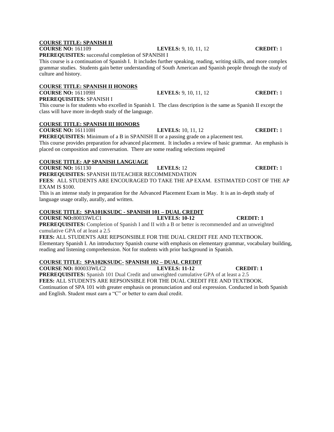# **COURSE TITLE: SPANISH II**

# **COURSE NO:** 161109 **LEVELS:** 9, 10, 11, 12 **CREDIT:** 1

**PREREQUISITES:** successful completion of SPANISH I

This course is a continuation of Spanish I. It includes further speaking, reading, writing skills, and more complex grammar studies. Students gain better understanding of South American and Spanish people through the study of culture and history.

# **COURSE TITLE: SPANISH II HONORS**

**COURSE NO:** 161109H **LEVELS:** 9, 10, 11, 12 **CREDIT:** 1 **PREREQUISITES:** SPANISH I

This course is for students who excelled in Spanish I. The class description is the same as Spanish II except the class will have more in-depth study of the language.

# **COURSE TITLE: SPANISH III HONORS**

**COURSE NO:** 161110H **LEVELS:** 10, 11, 12 **CREDIT:** 1

**PREREQUISITES:** Minimum of a B in SPANISH II or a passing grade on a placement test.

This course provides preparation for advanced placement. It includes a review of basic grammar. An emphasis is placed on composition and conversation. There are some reading selections required

# **COURSE TITLE: AP SPANISH LANGUAGE**

**COURSE NO:** 161130 **LEVELS:** 12 **CREDIT:** 1

**PREREQUISITES:** SPANISH III/TEACHER RECOMMENDATION

**FEES**: ALL STUDENTS ARE ENCOURAGED TO TAKE THE AP EXAM. ESTIMATED COST OF THE AP EXAM IS \$100.

This is an intense study in preparation for the Advanced Placement Exam in May. It is an in-depth study of language usage orally, aurally, and written.

# **COURSE TITLE: SPA101KSUDC - SPANISH 101 – DUAL CREDIT**

**COURSE NO:**80033WLC1 **LEVELS: 10-12 CREDIT: 1**

**PREREQUISITES:** Completion of Spanish I and II with a B or better is recommended and an unweighted cumulative GPA of at least a 2.5

**FEES:** ALL STUDENTS ARE REPSONSIBLE FOR THE DUAL CREDIT FEE AND TEXTBOOK. Elementary Spanish I. An introductory Spanish course with emphasis on elementary grammar, vocabulary building, reading and listening comprehension. Not for students with prior background in Spanish.

# **COURSE TITLE: SPA102KSUDC- SPANISH 102 – DUAL CREDIT**

**COURSE NO:** 800033WLC2 **LEVELS: 11-12 CREDIT: 1**

**PREREQUISITES:** Spanish 101 Dual Credit and unweighted cumulative GPA of at least a 2.5

**FEES:** ALL STUDENTS ARE REPSONSIBLE FOR THE DUAL CREDIT FEE AND TEXTBOOK. Continuation of SPA 101 with greater emphasis on pronunciation and oral expression. Conducted in both Spanish

and English. Student must earn a "C" or better to earn dual credit.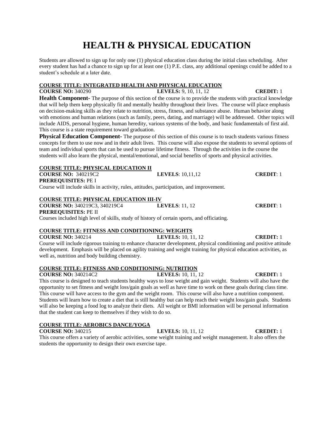# **HEALTH & PHYSICAL EDUCATION**

Students are allowed to sign up for only one (1) physical education class during the initial class scheduling. After every student has had a chance to sign up for at least one (1) P.E. class, any additional openings could be added to a student's schedule at a later date.

# **COURSE TITLE: INTEGRATED HEALTH AND PHYSICAL EDUCATION**

**COURSE NO:** 340290 **LEVELS:** 9, 10, 11, 12 **CREDIT:** 1 **Health Component-** The purpose of this section of the course is to provide the students with practical knowledge that will help them keep physically fit and mentally healthy throughout their lives. The course will place emphasis on decision-making skills as they relate to nutrition, stress, fitness, and substance abuse. Human behavior along with emotions and human relations (such as family, peers, dating, and marriage) will be addressed. Other topics will include AIDS, personal hygiene, human heredity, various systems of the body, and basic fundamentals of first aid. This course is a state requirement toward graduation.

**Physical Education Component-** The purpose of this section of this course is to teach students various fitness concepts for them to use now and in their adult lives. This course will also expose the students to several options of team and individual sports that can be used to pursue lifetime fitness. Through the activities in the course the students will also learn the physical, mental/emotional, and social benefits of sports and physical activities.

# **COURSE TITLE: PHYSICAL EDUCATION II**

**COURSE NO:** 340219C2 **LEVELS**: 10,11,12 **CREDIT**: 1 **PREREQUISITES:** PE I

Course will include skills in activity, rules, attitudes, participation, and improvement.

# **COURSE TITLE: PHYSICAL EDUCATION III-IV**

# **COURSE NO:** 340219C3, 340219C4 **LEVELS**: 11, 12 **CREDIT**: 1 **PREREQUISITES:** PE II

Courses included high level of skills, study of history of certain sports, and officiating.

# **COURSE TITLE: FITNESS AND CONDITIONING: WEIGHTS<br>COURSE NO: 340214 LEVELS: 10, 11, 12**

**COURSE NO:** 340214 **LEVELS:** 10, 11, 12 **CREDIT:** 1 Course will include rigorous training to enhance character development, physical conditioning and positive attitude development. Emphasis will be placed on agility training and weight training for physical education activities, as well as, nutrition and body building chemistry.

# **COURSE TITLE: FITNESS AND CONDITIONING: NUTRITION**

**COURSE NO:** 340214C2 **LEVELS:** 10, 11, 12 **CREDIT:** 1

This course is designed to teach students healthy ways to lose weight and gain weight. Students will also have the opportunity to set fitness and weight loss/gain goals as well as have time to work on these goals during class time. This course will have access to the gym and the weight room. This course will also have a nutrition component. Students will learn how to create a diet that is still healthy but can help reach their weight loss/gain goals. Students will also be keeping a food log to analyze their diets. All weight or BMI information will be personal information that the student can keep to themselves if they wish to do so.

# **COURSE TITLE: AEROBICS DANCE/YOGA**

**COURSE NO:** 340215 **LEVELS:** 10, 11, 12 **CREDIT:** 1 This course offers a variety of aerobic activities, some weight training and weight management. It also offers the students the opportunity to design their own exercise tape.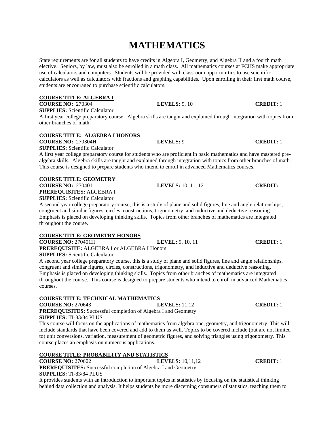# **MATHEMATICS**

State requirements are for all students to have credits in Algebra I, Geometry, and Algebra II and a fourth math elective. Seniors, by law, must also be enrolled in a math class. All mathematics courses at FCHS make appropriate use of calculators and computers. Students will be provided with classroom opportunities to use scientific calculators as well as calculators with fractions and graphing capabilities. Upon enrolling in their first math course, students are encouraged to purchase scientific calculators.

# **COURSE TITLE: ALGEBRA I**

**COURSE NO:** 270304 **LEVELS:** 9, 10 **CREDIT:** 1 **SUPPLIES:** Scientific Calculator

A first year college preparatory course. Algebra skills are taught and explained through integration with topics from other branches of math.

# **COURSE TITLE: ALGEBRA I HONORS**

**COURSE NO:** 270304H **LEVELS:** 9 **CREDIT:** 1

**SUPPLIES:** Scientific Calculator

A first year college preparatory course for students who are proficient in basic mathematics and have mastered prealgebra skills. Algebra skills are taught and explained through integration with topics from other branches of math. This course is designed to prepare students who intend to enroll in advanced Mathematics courses.

# **COURSE TITLE: GEOMETRY**

**COURSE NO:** 270401 **LEVELS:** 10, 11, 12 **CREDIT:** 1 **PREREQUISITES:** ALGEBRA I **SUPPLIES:** Scientific Calculator

A second year college preparatory course, this is a study of plane and solid figures, line and angle relationships, congruent and similar figures, circles, constructions, trigonometry, and inductive and deductive reasoning. Emphasis is placed on developing thinking skills. Topics from other branches of mathematics are integrated throughout the course.

# **COURSE TITLE: GEOMETRY HONORS**

**COURSE NO:** 270401H **LEVEL:** 9, 10, 11 **CREDIT:** 1 **PREREQUISITE:** ALGEBRA I or ALGEBRA I Honors

**SUPPLIES:** Scientific Calculator

A second year college preparatory course, this is a study of plane and solid figures, line and angle relationships, congruent and similar figures, circles, constructions, trigonometry, and inductive and deductive reasoning. Emphasis is placed on developing thinking skills. Topics from other branches of mathematics are integrated throughout the course. This course is designed to prepare students who intend to enroll in advanced Mathematics courses.

# **COURSE TITLE: TECHNICAL MATHEMATICS**

**COURSE NO:** 270643 **LEVELS:** 11,12 **CREDIT:** 1

**PREREQUISITES:** Successful completion of Algebra I and Geometry **SUPPLIES:** TI-83/84 PLUS

This course will focus on the applications of mathematics from algebra one, geometry, and trigonometry. This will include standards that have been covered and add to them as well. Topics to be covered include (but are not limited to) unit conversions, variation, measurement of geometric figures, and solving triangles using trigonometry. This course places an emphasis on numerous applications.

# **COURSE TITLE: PROBABILITY AND STATISTICS**

**COURSE NO:** 270602 **LEVELS:** 10,11,12 **CREDIT:** 1 **PREREQUISITES:** Successful completion of Algebra I and Geometry **SUPPLIES:** TI-83/84 PLUS

It provides students with an introduction to important topics in statistics by focusing on the statistical thinking behind data collection and analysis. It helps students be more discerning consumers of statistics, teaching them to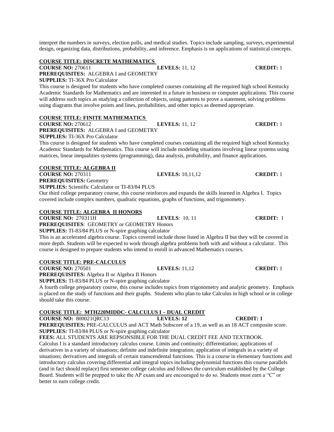interpret the numbers in surveys, election polls, and medical studies. Topics include sampling, surveys, experimental design, organizing data, distributions, probability, and inference. Emphasis is on applications of statistical concepts.

# **COURSE TITLE: DISCRETE MATHEMATICS**

# **COURSE NO:** 270611 **LEVELS:** 11, 12 **CREDIT:** 1

**PREREQUISITES:** ALGEBRA I and GEOMETRY

**SUPPLIES:** TI-36X Pro Calculator

This course is designed for students who have completed courses containing all the required high school Kentucky Academic Standards for Mathematics and are interested in a future in business or computer applications. This course will address such topics as studying a collection of objects, using patterns to prove a statement, solving problems using diagrams that involve points and lines, probabilities, and other topics as deemed appropriate.

# **COURSE TITLE: FINITE MATHEMATICS**

**COURSE NO:** 270612 **LEVELS:** 11, 12 **CREDIT:** 1

**PREREQUISITES:** ALGEBRA I and GEOMETRY

**SUPPLIES:** TI-36X Pro Calculator

This course is designed for students who have completed courses containing all the required high school Kentucky Academic Standards for Mathematics. This course will include modeling situations involving linear systems using matrices, linear inequalities systems (programming), data analysis, probability, and finance applications.

# **COURSE TITLE: ALGEBRA II**

**COURSE NO:** 270311 **LEVELS:** 10,11,12 **CREDIT:** 1 **PREREQUISITES:** Geometry

**SUPPLIES:** Scientific Calculator or TI-83/84 PLUS

Our third college preparatory course, this course reinforces and expands the skills learned in Algebra I. Topics covered include complex numbers, quadratic equations, graphs of functions, and trigonometry.

# **COURSE TITLE: ALGEBRA II HONORS**

**COURSE NO:** 270311H **LEVELS**: 10, 11 **CREDIT:** 1

**PREREQUISITES**: GEOMETRY or GEOMETRY Honors

**SUPPLIES:** TI-83/84 PLUS or N-spire graphing calculator

This is an accelerated algebra course. Topics covered include those listed in Algebra II but they will be covered in more depth. Students will be expected to work through algebra problems both with and without a calculator. This course is designed to prepare students who intend to enroll in advanced Mathematics courses.

# **COURSE TITLE: PRE-CALCULUS**

**COURSE NO:** 270501 **LEVELS:** 11,12 **CREDIT:** 1

**PREREQUISITES:** Algebra II or Algebra II Honors

**SUPPLIES:** TI-83/84 PLUS or N-spire graphing calculator

A fourth college preparatory course, this course includes topics from trigonometry and analytic geometry. Emphasis is placed on the study of functions and their graphs. Students who plan to take Calculus in high school or in college should take this course.

# **COURSE TITLE: MTH220MIDDC- CALCULUS I – DUAL CREDIT**

**COURSE NO:** 800021QRC13 **LEVELS: 12 CREDIT: 1** 

**PREREQUISITES:** PRE-CALCULUS and ACT Math Subscore of a 19, as well as an 18 ACT composite score. **SUPPLIES:** TI-83/84 PLUS or N-spire graphing calculator

**FEES:** ALL STUDENTS ARE REPSONSIBLE FOR THE DUAL CREDIT FEE AND TEXTBOOK. Calculus I is a standard introductory calculus course. Limits and continuity; differentiation; applications of

derivatives in a variety of situations; definite and indefinite integration; application of integrals in a variety of situations; derivatives and integrals of certain transcendental functions. This is a course in elementary functions and introductory calculus covering differential and integral topics including polynomial functions this course parallels (and in fact should replace) first semester college calculus and follows the curriculum established by the College Board. Students will be prepped to take the AP exam and are encouraged to do so. Students must earn a "C" or better to earn college credit.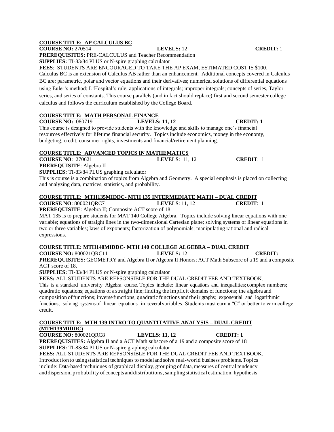# **COURSE TITLE: AP CALCULUS BC**

**COURSE NO:** 270514 **LEVELS:** 12 **CREDIT:** 1

**PREREQUISITES:** PRE-CALCULUS and Teacher Recommendation **SUPPLIES:** TI-83/84 PLUS or N-spire graphing calculator

**FEES**: STUDENTS ARE ENCOURAGED TO TAKE THE AP EXAM, ESTIMATED COST IS \$100. Calculus BC is an extension of Calculus AB rather than an enhancement. Additional concepts covered in Calculus BC are: parametric, polar and vector equations and their derivatives; numerical solutions of differential equations using Euler's method; L'Hospital's rule; applications of integrals; improper integrals; concepts of series, Taylor series, and series of constants. This course parallels (and in fact should replace) first and second semester college calculus and follows the curriculum established by the College Board.

# **COURSE TITLE: MATH PERSONAL FINANCE**

**COURSE NO:** 080719 **LEVELS: 11, 12 CREDIT: 1**

This course is designed to provide students with the knowledge and skills to manage one's financial resources effectively for lifetime financial security. Topics include economics, money in the economy, budgeting, credit, consumer rights, investments and financial/retirement planning.

# **COURSE TITLE: ADVANCED TOPICS IN MATHEMATICS**

# **COURSE NO**: 270621 **LEVELS**: 11, 12 **CREDIT**: 1

**PREREQUISITE**: Algebra II

**SUPPLIES:** TI-83/84 PLUS graphing calculator

This is course is a combination of topics from Algebra and Geometry. A special emphasis is placed on collecting and analyzing data, matrices, statistics, and probability.

# **COURSE TITLE: MTH135MIDDC- MTH 135 INTERMEDIATE MATH – DUAL CREDIT**

**COURSE NO**: 800021QRC7 **LEVELS**: 11, 12 **CREDIT**: 1

**PREREQUISITE**: Algebra II; Composite ACT score of 18 MAT 135 is to prepare students for MAT 140 College Algebra. Topics include solving linear equations with one variable; equations of straight lines in the two-dimensional Cartesian plane; solving systems of linear equations in

# two or three variables; laws of exponents; factorization of polynomials; manipulating rational and radical expressions.

# **COURSE TITLE: MTH140MIDDC- MTH 140 COLLEGE ALGEBRA – DUAL CREDIT**

**COURSE NO:** 800021QRC11 **LEVELS:** 12 **CREDIT:** 1

**PREREQUISITES:** GEOMETRY and Algebra II or Algebra II Honors; ACT Math Subscore of a 19 and a composite ACT score of 18.

**SUPPLIES:** TI-83/84 PLUS or N-spire graphing calculator

**FEES:** ALL STUDENTS ARE REPSONSIBLE FOR THE DUAL CREDIT FEE AND TEXTBOOK.

This is a standard university Algebra course. Topics include: linear equations and inequalities; complex numbers; quadratic equations; equations of a straight line;finding the implicit domains of functions; the algebra and composition offunctions; inverse functions; quadratic functions and their graphs; exponential and logarithmic functions; solving systems of linear equations in severalvariables. Students must earn a "C" or better to earn college credit.

### **COURSE TITLE: MTH 139 INTRO TO QUANTITATIVE ANALYSIS – DUAL CREDIT (MTH139MIDDC)**

**COURSE NO:** 800021QRC8 **LEVELS: 11, 12 CREDIT: 1**

**PREREQUISITES:** Algebra II and a ACT Math subscore of a 19 and a composite score of 18 **SUPPLIES:** TI-83/84 PLUS or N-spire graphing calculator

**FEES:** ALL STUDENTS ARE REPSONSIBLE FOR THE DUAL CREDIT FEE AND TEXTBOOK. Introduction to usingstatistical techniquesto modeland solve real-world business problems.Topics include: Data-based techniques of graphical display, grouping of data, measures of central tendency and dispersion, probability of concepts and distributions, sampling statistical estimation, hypothesis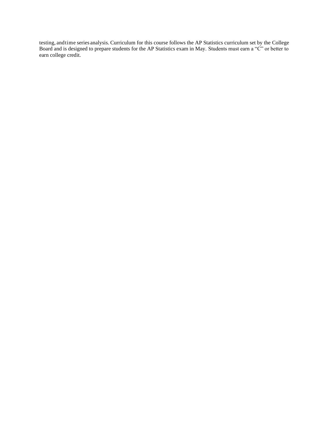testing, andtime series analysis. Curriculum for this course follows the AP Statistics curriculum set by the College Board and is designed to prepare students for the AP Statistics exam in May. Students must earn a "C" or better to earn college credit.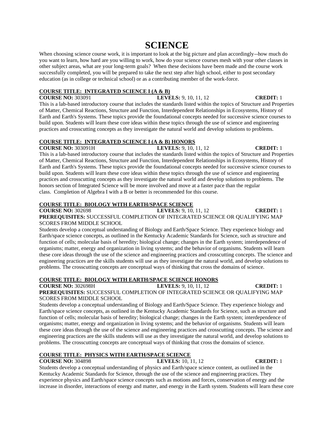# **SCIENCE**

When choosing science course work, it is important to look at the big picture and plan accordingly--how much do you want to learn, how hard are you willing to work, how do your science courses mesh with your other classes in other subject areas, what are your long-term goals? When these decisions have been made and the course work successfully completed, you will be prepared to take the next step after high school, either to post secondary education (as in college or technical school) or as a contributing member of the work-force.

# **COURSE TITLE: INTEGRATED SCIENCE I (A & B)**

**COURSE NO:** 303091 **LEVELS:** 9, 10, 11, 12 **CREDIT:** 1 This is a lab-based introductory course that includes the standards listed within the topics of Structure and Properties of Matter, Chemical Reactions, Structure and Function, Interdependent Relationships in Ecosystems, History of Earth and Earth's Systems. These topics provide the foundational concepts needed for successive science courses to build upon. Students will learn these core ideas within these topics through the use of science and engineering practices and crosscutting concepts as they investigate the natural world and develop solutions to problems.

# **COURSE TITLE: INTEGRATED SCIENCE I (A & B) HONORS**

**COURSE NO:** 303091H **LEVELS:** 9, 10, 11, 12 **CREDIT:** 1 This is a lab-based introductory course that includes the standards listed within the topics of Structure and Properties of Matter, Chemical Reactions, Structure and Function, Interdependent Relationships in Ecosystems, History of Earth and Earth's Systems. These topics provide the foundational concepts needed for successive science courses to build upon. Students will learn these core ideas within these topics through the use of science and engineering practices and crosscutting concepts as they investigate the natural world and develop solutions to problems. The honors section of Integrated Science will be more involved and move at a faster pace than the regular class. Completion of Algebra I with a B or better is recommended for this course.

# **COURSE TITLE: BIOLOGY WITH EARTH/SPACE SCIENCE**

**COURSE NO:** 302698 **LEVELS:** 9, 10, 11, 12 **CREDIT:** 1 **PREREQUISITES:** SUCCESSFUL COMPLETION OF INTEGRATED SCIENCE OR QUALIFYING MAP SCORES FROM MIDDLE SCHOOL

Students develop a conceptual understanding of Biology and Earth/Space Science. They experience biology and Earth/space science concepts, as outlined in the Kentucky Academic Standards for Science, such as structure and function of cells; molecular basis of heredity; biological change; changes in the Earth system; interdependence of organisms; matter, energy and organization in living systems; and the behavior of organisms. Students will learn these core ideas through the use of the science and engineering practices and crosscutting concepts. The science and engineering practices are the skills students will use as they investigate the natural world, and develop solutions to problems. The crosscutting concepts are conceptual ways of thinking that cross the domains of science.

# **COURSE TITLE: BIOLOGY WITH EARTH/SPACE SCIENCE HONORS**

**COURSE NO:** 302698H **LEVELS:** 9, 10, 11, 12 **CREDIT:** 1 **PREREQUISITES:** SUCCESSFUL COMPLETION OF INTEGRATED SCIENCE OR QUALIFYING MAP SCORES FROM MIDDLE SCHOOL

Students develop a conceptual understanding of Biology and Earth/Space Science. They experience biology and Earth/space science concepts, as outlined in the Kentucky Academic Standards for Science, such as structure and function of cells; molecular basis of heredity; biological change; changes in the Earth system; interdependence of organisms; matter, energy and organization in living systems; and the behavior of organisms. Students will learn these core ideas through the use of the science and engineering practices and crosscutting concepts. The science and engineering practices are the skills students will use as they investigate the natural world, and develop solutions to problems. The crosscutting concepts are conceptual ways of thinking that cross the domains of science.

# **COURSE TITLE: PHYSICS WITH EARTH/SPACE SCIENCE**

# **COURSE NO:** 304898 **LEVELS:** 10, 11, 12 **CREDIT:** 1

Students develop a conceptual understanding of physics and Earth/space science content, as outlined in the Kentucky Academic Standards for Science, through the use of the science and engineering practices. They experience physics and Earth/space science concepts such as motions and forces, conservation of energy and the increase in disorder, interactions of energy and matter, and energy in the Earth system. Students will learn these core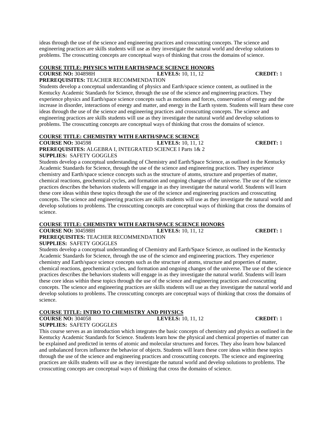ideas through the use of the science and engineering practices and crosscutting concepts. The science and engineering practices are skills students will use as they investigate the natural world and develop solutions to problems. The crosscutting concepts are conceptual ways of thinking that cross the domains of science.

# **COURSE TITLE: PHYSICS WITH EARTH/SPACE SCIENCE HONORS**

**COURSE NO:** 304898H **LEVELS:** 10, 11, 12 **CREDIT:** 1

# **PREREQUISITES:** TEACHER RECOMMENDATION

Students develop a conceptual understanding of physics and Earth/space science content, as outlined in the Kentucky Academic Standards for Science, through the use of the science and engineering practices. They experience physics and Earth/space science concepts such as motions and forces, conservation of energy and the increase in disorder, interactions of energy and matter, and energy in the Earth system. Students will learn these core ideas through the use of the science and engineering practices and crosscutting concepts. The science and engineering practices are skills students will use as they investigate the natural world and develop solutions to problems. The crosscutting concepts are conceptual ways of thinking that cross the domains of science.

# **COURSE TITLE: CHEMISTRY WITH EARTH/SPACE SCIENCE**

**COURSE NO:** 304598 **LEVELS:** 10, 11, 12 **CREDIT:** 1 **PREREQUISITES:** ALGEBRA I, INTEGRATED SCIENCE I Parts 1& 2 **SUPPLIES:** SAFETY GOGGLES

Students develop a conceptual understanding of Chemistry and Earth/Space Science, as outlined in the Kentucky Academic Standards for Science, through the use of the science and engineering practices. They experience chemistry and Earth/space science concepts such as the structure of atoms, structure and properties of matter, chemical reactions, geochemical cycles, and formation and ongoing changes of the universe. The use of the science practices describes the behaviors students will engage in as they investigate the natural world. Students will learn these core ideas within these topics through the use of the science and engineering practices and crosscutting concepts. The science and engineering practices are skills students will use as they investigate the natural world and develop solutions to problems. The crosscutting concepts are conceptual ways of thinking that cross the domains of science.

# **COURSE TITLE: CHEMISTRY WITH EARTH/SPACE SCIENCE HONORS**

**COURSE NO:** 304598H **LEVELS:** 10, 11, 12 **CREDIT:** 1

**PREREQUISITES:** TEACHER RECOMMENDATION

# **SUPPLIES:** SAFETY GOGGLES

Students develop a conceptual understanding of Chemistry and Earth/Space Science, as outlined in the Kentucky Academic Standards for Science, through the use of the science and engineering practices. They experience chemistry and Earth/space science concepts such as the structure of atoms, structure and properties of matter, chemical reactions, geochemical cycles, and formation and ongoing changes of the universe. The use of the science practices describes the behaviors students will engage in as they investigate the natural world. Students will learn these core ideas within these topics through the use of the science and engineering practices and crosscutting concepts. The science and engineering practices are skills students will use as they investigate the natural world and develop solutions to problems. The crosscutting concepts are conceptual ways of thinking that cross the domains of science.

# **COURSE TITLE: INTRO TO CHEMISTRY AND PHYSICS**

**COURSE NO:** 304058 **LEVELS:** 10, 11, 12 **CREDIT:** 1

**SUPPLIES:** SAFETY GOGGLES

This course serves as an introduction which integrates the basic concepts of chemistry and physics as outlined in the Kentucky Academic Standards for Science. Students learn how the physical and chemical properties of matter can be explained and predicted in terms of atomic and molecular structures and forces. They also learn how balanced and unbalanced forces influence the behavior of objects. Students will learn these core ideas within these topics through the use of the science and engineering practices and crosscutting concepts. The science and engineering practices are skills students will use as they investigate the natural world and develop solutions to problems. The crosscutting concepts are conceptual ways of thinking that cross the domains of science.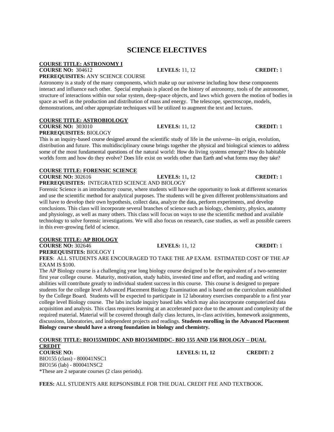# **SCIENCE ELECTIVES**

### **COURSE TITLE: ASTRONOMY I COURSE NO:** 304612 **LEVELS:** 11, 12 **CREDIT:** 1

**PREREQUISITES:** ANY SCIENCE COURSE

Astronomy is a study of the many components, which make up our universe including how these components interact and influence each other. Special emphasis is placed on the history of astronomy, tools of the astronomer, structure of interactions within our solar system, deep-space objects, and laws which govern the motion of bodies in space as well as the production and distribution of mass and energy. The telescope, spectroscope, models, demonstrations, and other appropriate techniques will be utilized to augment the text and lectures.

# **COURSE TITLE: ASTROBIOLOGY**

**COURSE NO:** 303010 **LEVELS:** 11, 12 **CREDIT:** 1

**PREREQUISITES:** BIOLOGY This is an inquiry-based course designed around the scientific study of life in the universe--its origin, evolution, distribution and future. This multidisciplinary course brings together the physical and biological sciences to address some of the most fundamental questions of the natural world: How do living systems emerge? How do habitable

# **COURSE TITLE: FORENSIC SCIENCE**

**COURSE NO:** 302616 **LEVELS:** 11, 12 **CREDIT:** 1

**PREREQUISITES:** INTEGRATED SCIENCE AND BIOLOGY

Forensic Science is an introductory course, where students will have the opportunity to look at different scenarios and use the scientific method for analytical purposes. The students will be given different problems/situations and will have to develop their own hypothesis, collect data, analyze the data, perform experiments, and develop conclusions. This class will incorporate several branches of science such as biology, chemistry, physics, anatomy and physiology, as well as many others. This class will focus on ways to use the scientific method and available technology to solve forensic investigations. We will also focus on research, case studies, as well as possible careers in this ever-growing field of science.

worlds form and how do they evolve? Does life exist on worlds other than Earth and what forms may they take?

# **COURSE TITLE: AP BIOLOGY**

**COURSE NO:** 302646 **LEVELS:** 11, 12 **CREDIT:** 1 **PREREQUISITES:** BIOLOGY I

**FEES**: ALL STUDENTS ARE ENCOURAGED TO TAKE THE AP EXAM. ESTIMATED COST OF THE AP EXAM IS \$100.

The AP Biology course is a challenging year long biology course designed to be the equivalent of a two-semester first year college course. Maturity, motivation, study habits, invested time and effort, and reading and writing abilities will contribute greatly to individual student success in this course.This course is designed to prepare students for the college level Advanced Placement Biology Examination and is based on the curriculum established by the College Board. Students will be expected to participate in 12 laboratory exercises comparable to a first year college level Biology course. The labs include inquiry based labs which may also incorporate computerized data acquisition and analysis. This class requires learning at an accelerated pace due to the amount and complexity of the required material. Material will be covered through daily class lectures, in-class activities, homework assignments, discussions, laboratories, and independent projects and readings. **Students enrolling in the Advanced Placement Biology course should have a strong foundation in biology and chemistry.**

| COURSE TITLE: BIO155MIDDC AND BIO156MIDDC- BIO 155 AND 156 BIOLOGY – DUAL |                       |                  |
|---------------------------------------------------------------------------|-----------------------|------------------|
| <b>CREDIT</b>                                                             |                       |                  |
| <b>COURSE NO:</b>                                                         | <b>LEVELS: 11, 12</b> | <b>CREDIT: 2</b> |

BIO155 (class) - 800041NSC1 BIO156 (lab) - 800041NSC2 \*These are 2 separate courses (2 class periods).

**FEES:** ALL STUDENTS ARE REPSONSIBLE FOR THE DUAL CREDIT FEE AND TEXTBOOK.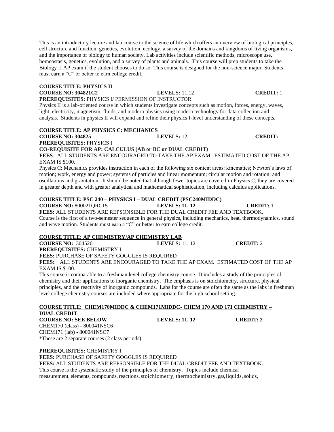This is an introductory lecture and lab course to the science of life which offers an overview of biological principles, cell structure and function, genetics, evolution, ecology, a survey of the domains and kingdoms of living organisms, and the importance of biology to human society. Lab activities include scientific methods, microscope use, homeostasis, genetics, evolution, and a survey of plants and animals. This course will prep students to take the Biology II AP exam if the student chooses to do so. This course is designed for the non-science major. Students must earn a "C" or better to earn college credit.

### **COURSE TITLE: PHYSICS II**

**COURSE NO: 304821C2 LEVELS:** 11,12 **CREDIT:** 1 **PREREQUISITES:** PHYSICS I/ PERMISSION OF INSTRUCTOR

Physics II is a lab-oriented course in which students investigate concepts such as motion, forces, energy, waves, light, electricity, magnetism, fluids, and modern physics using modern technology for data collection and analysis. Students in physics II will expand and refine their physics I-level understanding of these concepts.

## **COURSE TITLE: AP PHYSICS C: MECHANICS**

**COURSE NO: 304825 LEVELS:** 12 **CREDIT:** 1

**PREREQUISITES:** PHYSICS I

**CO-REQUISITE FOR AP: CALCULUS (AB or BC or DUAL CREDIT)**

**FEES**: ALL STUDENTS ARE ENCOURAGED TO TAKE THE AP EXAM. ESTIMATED COST OF THE AP EXAM IS \$100.

Physics C: Mechanics provides instruction in each of the following six content areas: kinematics; Newton's laws of motion; work, energy and power; systems of particles and linear momentum; circular motion and rotation; and oscillations and gravitation. It should be noted that although fewer topics are covered in Physics C, they are covered in greater depth and with greater analytical and mathematical sophistication, including calculus applications.

# **COURSE TITLE: PSC 240 – PHYSICS I – DUAL CREDIT (PSC240MIDDC)**

**COURSE NO:** 800021QRC15 **LEVELS: 11, 12 CREDIT:** 1

**FEES:** ALL STUDENTS ARE REPSONSIBLE FOR THE DUAL CREDIT FEE AND TEXTBOOK. Course is the first of a two-semester sequence in general physics, including mechanics, heat, thermodynamics, sound and wave motion. Students must earn a "C" or better to earn college credit.

# **COURSE TITLE: AP CHEMISTRY/AP CHEMISTRY LAB**

**COURSE NO:** 304526 **LEVELS:** 11, 12 **CREDIT:** 2 **PREREQUISITES:** CHEMISTRY I

**FEES:** PURCHASE OF SAFETY GOGGLES IS REQUIRED

**FEES**: ALL STUDENTS ARE ENCOURAGED TO TAKE THE AP EXAM. ESTIMATED COST OF THE AP EXAM IS \$100.

This course is comparable to a freshman level college chemistry course. It includes a study of the principles of chemistry and their applications to inorganic chemistry. The emphasis is on stoichiometry, structure, physical principles, and the reactivity of inorganic compounds. Labs for the course are often the same as the labs in freshman level college chemistry courses are included where appropriate for the high school setting.

### **COURSE TITLE: CHEM170MIDDC & CHEM171MIDDC- CHEM 170 AND 171 CHEMISTRY – DUAL CREDIT**

**COURSE NO: SEE BELOW LEVELS: 11, 12 CREDIT: 2** CHEM170 (class) - 800041NSC6 CHEM171 (lab) - 800041NSC7 \*These are 2 separate courses (2 class periods).

**PREREQUISITES:** CHEMISTRY I

**FEES:** PURCHASE OF SAFETY GOGGLES IS REQUIRED

**FEES:** ALL STUDENTS ARE REPSONSIBLE FOR THE DUAL CREDIT FEE AND TEXTBOOK. This course is the systematic study of the principles of chemistry. Topics include chemical measurement, elements, compounds, reactions, stoichiometry, thermochemistry, gas, liquids, solids,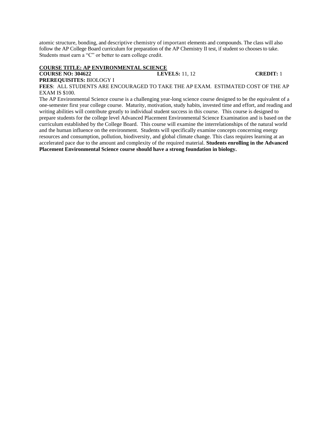atomic structure, bonding, and descriptive chemistry of important elements and compounds. The class will also follow the AP College Board curriculum for preparation of the AP Chemistry II test, if student so chooses to take. Students must earn a "C" or better to earn college credit.

### **COURSE TITLE: AP ENVIRONMENTAL SCIENCE**

## **COURSE NO: 304622 LEVELS:** 11, 12 **CREDIT:** 1

**PREREQUISITES:** BIOLOGY I

**FEES**: ALL STUDENTS ARE ENCOURAGED TO TAKE THE AP EXAM. ESTIMATED COST OF THE AP EXAM IS \$100.

The AP Environmental Science course is a challenging year-long science course designed to be the equivalent of a one-semester first year college course. Maturity, motivation, study habits, invested time and effort, and reading and writing abilities will contribute greatly to individual student success in this course.This course is designed to prepare students for the college level Advanced Placement Environmental Science Examination and is based on the curriculum established by the College Board. This course will examine the interrelationships of the natural world and the human influence on the environment. Students will specifically examine concepts concerning energy resources and consumption, pollution, biodiversity, and global climate change. This class requires learning at an accelerated pace due to the amount and complexity of the required material. **Students enrolling in the Advanced Placement Environmental Science course should have a strong foundation in biology.**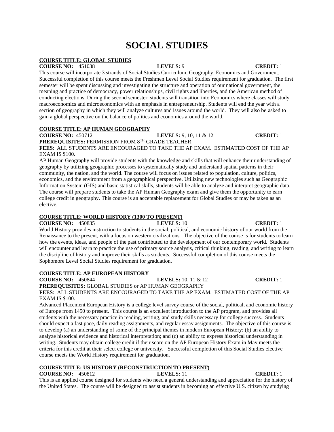# **SOCIAL STUDIES**

# **COURSE TITLE: GLOBAL STUDIES**

### **COURSE NO:** 451038 **LEVELS:** 9 **CREDIT:** 1

This course will incorporate 3 strands of Social Studies Curriculum, Geography, Economics and Government. Successful completion of this course meets the Freshmen Level Social Studies requirement for graduation. The first semester will be spent discussing and investigating the structure and operation of our national government, the meaning and practice of democracy, power relationships, civil rights and liberties, and the American method of conducting elections. During the second semester, students will transition into Economics where classes will study macroeconomics and microeconomics with an emphasis in entrepreneurship. Students will end the year with a section of geography in which they will analyze cultures and issues around the world. They will also be asked to gain a global perspective on the balance of politics and economics around the world.

# **COURSE TITLE: AP HUMAN GEOGRAPHY**

**COURSE NO:** 450712 **LEVELS:** 9, 10, 11 & 12 **CREDIT:** 1

**PREREQUISITES:** PERMISSION FROM 8TH GRADE TEACHER

**FEES**: ALL STUDENTS ARE ENCOURAGED TO TAKE THE AP EXAM. ESTIMATED COST OF THE AP EXAM IS \$100.

AP Human Geography will provide students with the knowledge and skills that will enhance their understanding of geography by utilizing geographic processes to systematically study and understand spatial patterns in their community, the nation, and the world. The course will focus on issues related to population, culture, politics, economics, and the environment from a geographical perspective. Utilizing new technologies such as Geographic Information System (GIS) and basic statistical skills, students will be able to analyze and interpret geographic data. The course will prepare students to take the AP Human Geography exam and give them the opportunity to earn college credit in geography. This course is an acceptable replacement for Global Studies or may be taken as an elective.

## **COURSE TITLE: WORLD HISTORY (1300 TO PRESENT)**

**COURSE NO:** 450835 **LEVELS:** 10 **CREDIT:** 1 World History provides instruction to students in the social, political, and economic history of our world from the Renaissance to the present, with a focus on western civilizations. The objective of the course is for students to learn how the events, ideas, and people of the past contributed to the development of our contemporary world. Students will encounter and learn to practice the use of primary source analysis, critical thinking, reading, and writing to learn the discipline of history and improve their skills as students. Successful completion of this course meets the Sophomore Level Social Studies requirement for graduation.

### **COURSE TITLE: AP EUROPEAN HISTORY**

**COURSE NO:** 450844 **LEVELS:** 10, 11 & 12 **CREDIT:** 1 **PREREQUISITES:** GLOBAL STUDIES or AP HUMAN GEOGRAPHY

**FEES**: ALL STUDENTS ARE ENCOURAGED TO TAKE THE AP EXAM. ESTIMATED COST OF THE AP EXAM IS \$100.

Advanced Placement European History is a college level survey course of the social, political, and economic history of Europe from 1450 to present. This course is an excellent introduction to the AP program, and provides all students with the necessary practice in reading, writing, and study skills necessary for college success. Students should expect a fast pace, daily reading assignments, and regular essay assignments. The objective of this course is to develop (a) an understanding of some of the principal themes in modern European History; (b) an ability to analyze historical evidence and historical interpretation; and (c) an ability to express historical understanding in writing. Students may obtain college credit if their score on the AP European History Exam in May meets the criteria for this credit at their select college or university. Successful completion of this Social Studies elective course meets the World History requirement for graduation.

# **COURSE TITLE: US HISTORY (RECONSTRUCTION TO PRESENT)**

**COURSE NO:** 450812 **LEVELS:** 11 **CREDIT:** 1

This is an applied course designed for students who need a general understanding and appreciation for the history of the United States. The course will be designed to assist students in becoming an effective U.S. citizen by studying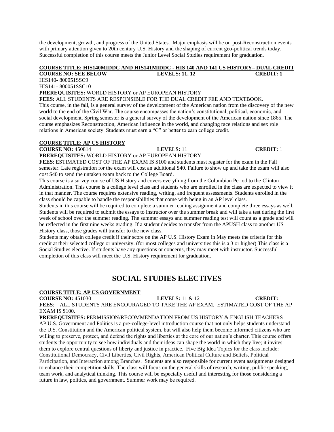the development, growth, and progress of the United States. Major emphasis will be on post-Reconstruction events with primary attention given to 20th century U.S. History and the shaping of current geo-political trends today. Successful completion of this course meets the Junior Level Social Studies requirement for graduation.

### **COURSE TITLE: HIS140MIDDC AND HIS141MIDDC - HIS 140 AND 141 US HISTORY– DUAL CREDIT COURSE NO: SEE BELOW LEVELS: 11, 12 CREDIT: 1**

HIS140**-** 800051SSC9

HIS141- 800051SSC10

**PREREQUISITES:** WORLD HISTORY or AP EUROPEAN HISTORY

**FEES:** ALL STUDENTS ARE RESPONSIBLE FOR THE DUAL CREDIT FEE AND TEXTBOOK.

This course, in the fall, is a general survey of the development of the American nation from the discovery of the new world to the end of the Civil War. The course encompasses the nation's constitutional, political, economic, and social development. Spring semester is a general survey of the development of the American nation since 1865. The course emphasizes Reconstruction, American influence in the world, and changing race relations and sex role relations in American society. Students must earn a "C" or better to earn college credit.

# **COURSE TITLE: AP US HISTORY**

**COURSE NO:**  $450814$  **LEVELS:** 11 **CREDIT:** 1

**PREREQUISITES:** WORLD HISTORY or AP EUROPEAN HISTORY

**FEES**: ESTIMATED COST OF THE AP EXAM IS \$100 and students must register for the exam in the Fall semester. Late registration for the exam will cost an additional \$40. Failure to show up and take the exam will also cost \$40 to send the untaken exam back to the College Board.

This course is a survey course of US History and covers everything from the Columbian Period to the Clinton Administration. This course is a college level class and students who are enrolled in the class are expected to view it in that manner. The course requires extensive reading, writing, and frequent assessments. Students enrolled in the class should be capable to handle the responsibilities that come with being in an AP level class.

Students in this course will be required to complete a summer reading assignment and complete three essays as well. Students will be required to submit the essays to instructor over the summer break and will take a test during the first week of school over the summer reading. The summer essays and summer reading test will count as a grade and will be reflected in the first nine weeks grading. If a student decides to transfer from the APUSH class to another US History class, those grades will transfer to the new class.

Students may obtain college credit if their score on the AP U.S. History Exam in May meets the criteria for this credit at their selected college or university. (for most colleges and universities this is a 3 or higher) This class is a Social Studies elective. If students have any questions or concerns, they may meet with instructor. Successful completion of this class will meet the U.S. History requirement for graduation.

# **SOCIAL STUDIES ELECTIVES**

# **COURSE TITLE: AP US GOVERNMENT**

**COURSE NO:** 451030 **LEVELS:** 11 & 12 **CREDIT:** 1 **FEES**: ALL STUDENTS ARE ENCOURAGED TO TAKE THE AP EXAM. ESTIMATED COST OF THE AP EXAM IS \$100.

**PREREQUISITES:** PERMISSION/RECOMMENDATION FROM US HISTORY & ENGLISH TEACHERS

AP U.S. Government and Politics is a pre-college-level introduction course that not only helps students understand the U.S. Constitution and the American political system, but will also help them become informed citizens who are willing to preserve, protect, and defend the rights and liberties at the core of our nation's charter. This course offers students the opportunity to see how individuals and their ideas can shape the world in which they live; it invites them to explore central questions of liberty and justice in practice. Five Big Idea Topics for the class include: Constitutional Democracy, Civil Liberties, Civil Rights, American Political Culture and Beliefs, Political Participation, and Interaction among Branches. Students are also responsible for current event assignments designed to enhance their competition skills. The class will focus on the general skills of research, writing, public speaking, team work, and analytical thinking. This course will be especially useful and interesting for those considering a future in law, politics, and government. Summer work may be required.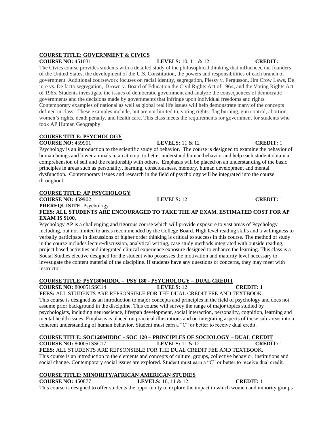# **COURSE TITLE: GOVERNMENT & CIVICS**

**COURSE NO:** 451031 **LEVELS:** 10, 11, & 12 **CREDIT:** 1 The Civics course provides students with a detailed study of the philosophical thinking that influenced the founders of the United States, the development of the U.S. Constitution, the powers and responsibilities of each branch of government. Additional coursework focuses on racial identity, segregation, Plessy v. Fergusson, Jim Crow Laws, De jure vs. De facto segregation, Brown v. Board of Education the Civil Rights Act of 1964, and the Voting Rights Act of 1965. Students investigate the issues of democratic government and analyze the consequences of democratic governments and the decisions made by governments that infringe upon individual freedoms and rights. Contemporary examples of national as well as global real life issues will help demonstrate many of the concepts defined in class. These examples include, but are not limited to, voting rights, flag burning, gun control, abortion, women's rights, death penalty, and health care. This class meets the requirements for government for students who took AP Human Geography.

# **COURSE TITLE: PSYCHOLOGY**

**COURSE NO:** 459901 **LEVELS:** 11 & 12 **CREDIT:** 1

Psychology is an introduction to the scientific study of behavior. The course is designed to examine the behavior of human beings and lower animals in an attempt to better understand human behavior and help each student obtain a comprehension of self and the relationship with others. Emphasis will be placed on an understanding of the basic principles in areas such as personality, learning, consciousness, memory, human development and mental dysfunction. Contemporary issues and research in the field of psychology will be integrated into the course throughout.

# **COURSE TITLE: AP PSYCHOLOGY**

**COURSE NO:** 459902 **LEVELS:** 12 **CREDIT:** 1

**PREREQUISITE**: Psychology

# **FEES: ALL STUDENTS ARE ENCOURAGED TO TAKE THE AP EXAM. ESTIMATED COST FOR AP EXAM IS \$100**.

Psychology AP is a challenging and rigorous course which will provide exposure to vast areas of Psychology including, but not limited to areas recommended by the College Board. High level reading skills and a willingness to verbally participate in discussions of higher order thinking is critical to success in this course. The method of study in the course includes lecture/discussion, analytical writing, case study methods integrated with outside reading, project based activities and integrated clinical experience exposure designed to enhance the learning. This class is a Social Studies elective designed for the student who possesses the motivation and maturity level necessary to investigate the content material of the discipline. If students have any questions or concerns, they may meet with instructor.

# **COURSE TITLE: PSY180MIDDC - PSY 180 - PSYCHOLOGY – DUAL CREDIT**

**COURSE NO:** 800051SSC14 **LEVELS:** 12 **CREDIT: 1 FEES:** ALL STUDENTS ARE REPSONSIBLE FOR THE DUAL CREDIT FEE AND TEXTBOOK. This course is designed as an introduction to major concepts and principles in the field of psychology and does not assume prior background in the discipline. This course will survey the range of major topics studied by psychologists, including neuroscience, lifespan development, social interaction, personality, cognition, learning and mental health issues. Emphasis is placed on practical illustrations and on integrating aspects of these sub-areas into a coherent understanding of human behavior. Student must earn a "C" or better to receive dual credit.

### **COURSE TITLE: SOC120MIDDC - SOC 120 – PRINCIPLES OF SOCIOLOGY – DUAL CREDIT COURSE NO:** 800051SSC17 **LEVELS:** 11 & 12 **CREDIT:** 1

**FEES:** ALL STUDENTS ARE REPSONSIBLE FOR THE DUAL CREDIT FEE AND TEXTBOOK. This course is an introduction to the elements and concepts of culture, groups, collective behavior, institutions and social change. Contemporary social issues are explored. Student must earn a "C" or better to receive dual credit.

# **COURSE TITLE: MINORITY/AFRICAN AMERICAN STUDIES**

**COURSE NO:** 450877 **LEVELS:** 10, 11 & 12 **CREDIT:** 1 This course is designed to offer students the opportunity to explore the impact in which women and minority groups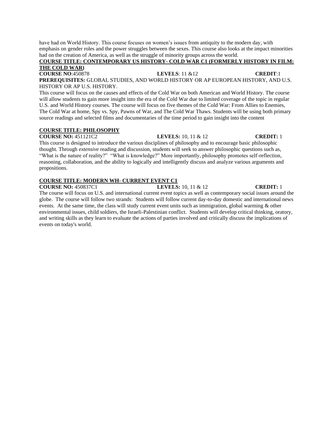### **COURSE TITLE: CONTEMPORARY US HISTORY- COLD WAR C1 (FORMERLY HISTORY IN FILM: THE COLD WAR)**

**COURSE NO**:450878 **LEVELS**: 11 &12 **CREDIT**:1 **PREREQUISITES:** GLOBAL STUDIES, AND WORLD HISTORY OR AP EUROPEAN HISTORY, AND U.S. HISTORY OR AP U.S. HISTORY.

This course will focus on the causes and effects of the Cold War on both American and World History. The course will allow students to gain more insight into the era of the Cold War due to limited coverage of the topic in regular U.S. and World History courses. The course will focus on five themes of the Cold War: From Allies to Enemies, The Cold War at home, Spy vs. Spy, Pawns of War, and The Cold War Thaws. Students will be using both primary source readings and selected films and documentaries of the time period to gain insight into the content

# **COURSE TITLE: PHILOSOPHY**

**COURSE NO:** 451121C2 **LEVELS:** 10, 11 & 12 **CREDIT:** 1

This course is designed to introduce the various disciplines of philosophy and to encourage basic philosophic thought. Through *extensive* reading and discussion, students will seek to answer philosophic questions such as, "What is the nature of reality?" "What is knowledge?" More importantly, philosophy promotes self-reflection, reasoning, collaboration, and the ability to logically and intelligently discuss and analyze various arguments and propositions.

# **COURSE TITLE: MODERN WH- CURRENT EVENT C1**

**COURSE NO:** 450837C1 **LEVELS:** 10, 11 & 12 **CREDIT:** 1 The course will focus on U.S. and international current event topics as well as contemporary social issues around the globe. The course will follow two strands: Students will follow current day-to-day domestic and international news events. At the same time, the class will study current event units such as immigration, global warming & other environmental issues, child soldiers, the Israeli-Palestinian conflict. Students will develop critical thinking, oratory, and writing skills as they learn to evaluate the actions of parties involved and critically discuss the implications of events on today's world.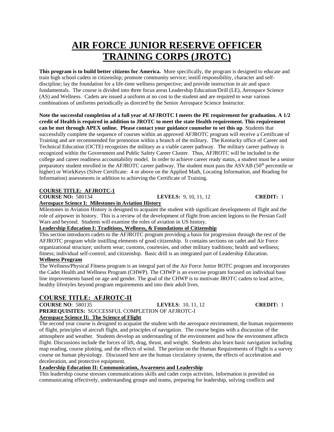# **AIR FORCE JUNIOR RESERVE OFFICER TRAINING CORPS (JROTC)**

**This program is to build better citizens for America.** More specifically, the program is designed to educate and train high school cadets in citizenship; promote community service; instill responsibility, character and selfdiscipline; lay the foundation for a life-time wellness perspective; and provide instruction in air and space fundamentals. The course is divided into three focus areas Leadership Education/Drill (LE), Aerospace Science (AS) and Wellness. Cadets are issued a uniform at no cost to the student and are required to wear various combinations of uniforms periodically as directed by the Senior Aerospace Science Instructor.

**Note the successful completion of a full year of AFJROTC I meets the PE requirement for graduation. A 1/2 credit of Health is required in addition to JROTC to meet the state Health requirement. This requirement can be met through APEX online. Please contact your guidance counselor to set this up**. Students that successfully complete the sequence of courses within an approved AFJROTC program will receive a Certificate of Training and are recommended for promotion within a branch of the military. The Kentucky office of Career and Technical Education (OCTE) recognizes the military as a viable career pathway. The military career pathway is recognized within the Government and Public Safety Career Cluster. Thus, AFJROTC will be included in the college and career readiness accountability model. In order to achieve career ready status, a student must be a senior preparatory student enrolled in the AFJROTC career pathway. The student must pass the ASVAB (50<sup>th</sup> percentile or higher) or WorkKeys (Silver Certificate: 4 or above on the Applied Math, Locating Information, and Reading for Information) assessments in addition to achieving the Certificate of Training.

# **COURSE TITLE: AFJROTC-1**

| <b>COURSE NO: 580134</b>                                   | <b>LEVELS:</b> 9, 10, 11, 12 | <b>CREDIT:</b> 1 |
|------------------------------------------------------------|------------------------------|------------------|
| <b>Aerospace Science I: Milestones in Aviation History</b> |                              |                  |

Milestones in Aviation History is designed to acquaint the student with significant developments of flight and the role of airpower in history. This is a review of the development of flight from ancient legions to the Persian Gulf Wars and beyond. Students will examine the roles of aviation in US history.

# **Leadership Education I: Traditions, Wellness, & Foundations of Citizenship**

This section introduces cadets to the AFJROTC program providing a basis for progression through the rest of the AFJROTC program while instilling elements of good citizenship. It contains sections on cadet and Air Force organizational structure; uniform wear; customs, courtesies, and other military traditions; health and wellness; fitness; individual self-control; and citizenship. Basic drill is an integrated part of Leadership Education. **Wellness Program**

The Wellness/Physical Fitness program is an integral part of the Air Force Junior ROTC program and incorporates the Cadet Health and Wellness Program (CHWP). The CHWP is an exercise program focused on individual base line improvements based on age and gender. The goal of the CHWP is to motivate JROTC cadets to lead active, healthy lifestyles beyond program requirements and into their adult lives.

# **COURSE TITLE: AFJROTC-II**

**COURSE NO**: 580135 **LEVELS**: 10, 11, 12 **CREDIT:** 1 **PREREQUISITES:** SUCCESSFUL COMPLETION OF AFJROTC-I **Aerospace Science II: The Science of Flight**

The second year course is designed to acquaint the student with the aerospace environment, the human requirements of flight, principles of aircraft flight, and principles of navigation. The course begins with a discussion of the atmosphere and weather. Students develop an understanding of the environment and how the environment affects flight. Discussions include the forces of lift, drag, thrust, and weight. Students also learn basic navigation including map reading, course plotting, and the effects of wind. The portion on the Human Requirements of Flight is a survey course on human physiology. Discussed here are the human circulatory system, the effects of acceleration and deceleration, and protective equipment.

# **Leadership Education II: Communication, Awareness and Leadership**

This leadership course stresses communications skills and cadet corps activities. Information is provided on communicating effectively, understanding groups and teams, preparing for leadership, solving conflicts and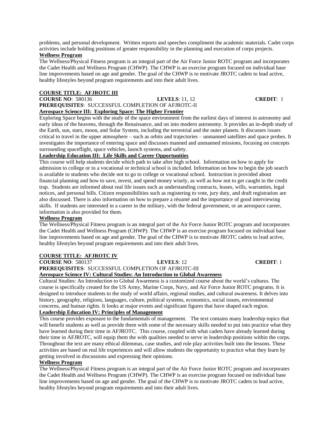problems, and personal development. Written reports and speeches compliment the academic materials. Cadet corps activities include holding positions of greater responsibility in the planning and execution of corps projects.

# **Wellness Program**

The Wellness/Physical Fitness program is an integral part of the Air Force Junior ROTC program and incorporates the Cadet Health and Wellness Program (CHWP). The CHWP is an exercise program focused on individual base line improvements based on age and gender. The goal of the CHWP is to motivate JROTC cadets to lead active, healthy lifestyles beyond program requirements and into their adult lives.

# **COURSE TITLE: AFJROTC III**

## **COURSE NO**: 580136 **LEVELS**: 11, 12 **CREDIT**: 1 **PREREQUISITES**: SUCCESSFUL COMPLETION OF AFJROTC-II **Aerospace Science III: Exploring Space: The Higher Frontier**

Exploring Space begins with the study of the space environment from the earliest days of interest in astronomy and early ideas of the heavens, through the Renaissance, and on into modern astronomy. It provides an in-depth study of the Earth, sun, stars, moon, and Solar System, including the terrestrial and the outer planets. It discusses issues critical to travel in the upper atmosphere – such as orbits and trajectories – unmanned satellites and space probes. It investigates the importance of entering space and discusses manned and unmanned missions, focusing on concepts surrounding spaceflight, space vehicles, launch systems, and safety.

# **Leadership Education III: Life Skills and Career Opportunities**

This course will help students decide which path to take after high school. Information on how to apply for admission to college or to a vocational or technical school is included. Information on how to begin the job search is available to students who decide not to go to college or vocational school. Instruction is provided about financial planning and how to save, invest, and spend money wisely, as well as how not to get caught in the credit trap. Students are informed about real life issues such as understanding contracts, leases, wills, warranties, legal notices, and personal bills. Citizen responsibilities such as registering to vote, jury duty, and draft registration are also discussed. There is also information on how to prepare a résumé and the importance of good interviewing skills. If students are interested in a career in the military, with the federal government, or an aerospace career, information is also provided for them.

# **Wellness Program**

The Wellness/Physical Fitness program is an integral part of the Air Force Junior ROTC program and incorporates the Cadet Health and Wellness Program (CHWP). The CHWP is an exercise program focused on individual base line improvements based on age and gender. The goal of the CHWP is to motivate JROTC cadets to lead active, healthy lifestyles beyond program requirements and into their adult lives.

# **COURSE TITLE: AFJROTC IV**

**COURSE NO**: 580137 **LEVELS**: 12 **CREDIT**: 1

**PREREQUISITES**: SUCCESSFUL COMPLETION OF AFJROTC-III **Aerospace Science IV: Cultural Studies: An Introduction to Global Awareness**

Cultural Studies: An Introduction to Global Awareness is a customized course about the world's cultures. The course is specifically created for the US Army, Marine Corps, Navy, and Air Force Junior ROTC programs. It is designed to introduce students to the study of world affairs, regional studies, and cultural awareness. It delves into history, geography, religions, languages, culture, political systems, economics, social issues, environmental concerns, and human rights. It looks at major events and significant figures that have shaped each region.

# **Leadership Education IV: Principles of Management**

This course provides exposure to the fundamentals of management. The text contains many leadership topics that will benefit students as well as provide them with some of the necessary skills needed to put into practice what they have learned during their time in AFJROTC. This course, coupled with what cadets have already learned during their time in AFJROTC, will equip them the with qualities needed to serve in leadership positions within the corps. Throughout the text are many ethical dilemmas, case studies, and role play activities built into the lessons. These activities are based on real life experiences and will allow students the opportunity to practice what they learn by getting involved in discussions and expressing their opinions.

# **Wellness Program**

The Wellness/Physical Fitness program is an integral part of the Air Force Junior ROTC program and incorporates the Cadet Health and Wellness Program (CHWP). The CHWP is an exercise program focused on individual base line improvements based on age and gender. The goal of the CHWP is to motivate JROTC cadets to lead active, healthy lifestyles beyond program requirements and into their adult lives.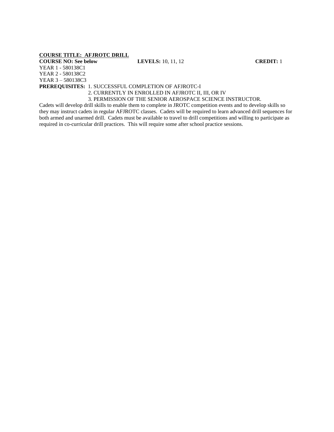# **COURSE TITLE: AFJROTC DRILL**

### **COURSE NO: See below LEVELS:** 10, 11, 12 **CREDIT:** 1

YEAR 1 - 580138C1 YEAR 2 - 580138C2 YEAR 3 – 580138C3 **PREREQUISITES:** 1. SUCCESSFUL COMPLETION OF AFJROTC-I

## 2. CURRENTLY IN ENROLLED IN AFJROTC II, III, OR IV 3. PERMISSION OF THE SENIOR AEROSPACE SCIENCE INSTRUCTOR.

Cadets will develop drill skills to enable them to complete in JROTC competition events and to develop skills so they may instruct cadets in regular AFJROTC classes. Cadets will be required to learn advanced drill sequences for both armed and unarmed drill. Cadets must be available to travel to drill competitions and willing to participate as required in co-curricular drill practices. This will require some after school practice sessions.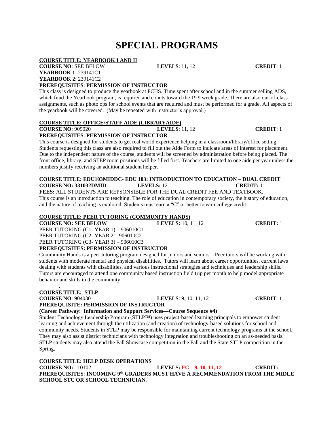# **SPECIAL PROGRAMS**

# **COURSE TITLE: YEARBOOK I AND II**

### **COURSE NO**: SEE BELOW **LEVELS**: 11, 12 **CREDIT**: 1 **YEARBOOK 1**: 239141C1 **YEARBOOK 2**: 239141C2

# **PREREQUISITES**: **PERMISSION OF INSTRUCTOR**

This class is designed to produce the yearbook at FCHS. Time spent after school and in the summer selling ADS, which fund the Yearbook program, is required and counts toward the 1<sup>st</sup> 9 week grade. There are also out-of-class assignments, such as photo ops for school events that are required and must be performed for a grade. All aspects of the yearbook will be covered. (May be repeated with instructor's approval.)

# **COURSE TITLE: OFFICE/STAFF AIDE (LIBRARYAIDE)**

**COURSE NO**: 909020 **LEVELS**: 11, 12 **CREDIT**: 1 **PREREQUISITES**: **PERMISSION OF INSTRUCTOR**

This course is designed for students to get real world experience helping in a classroom/library/office setting. Students requesting this class are also required to fill out the Aide Form to indicate areas of interest for placement. Due to the independent nature of the course, students will be screened by administration before being placed. The front office, library, and STEP room positions will be filled first. Teachers are limited to one aide per year unless the numbers justify receiving an additional student helper.

### **COURSE TITLE: EDU103MIDDC- EDU 103: INTRODUCTION TO EDUCATION – DUAL CREDIT COURSE NO: 331032DMID LEVELS:** 12 **CREDIT:** 1

**FEES:** ALL STUDENTS ARE REPSONSIBLE FOR THE DUAL CREDIT FEE AND TEXTBOOK. This course is an introduction to teaching. The role of education in contemporary society, the history of education, and the nature of teaching is explored. Students must earn a "C" or better to earn college credit.

# **COURSE TITLE: PEER TUTORING (COMMUNITY HANDS)**

**COURSE NO: SEE BELOW LEVELS:** 10, 11, 12 **CREDIT:** 1

PEER TUTORING (C1- YEAR 1) – 906010C1 PEER TUTORING (C2- YEAR 2 – 906010C2

PEER TUTORING (C3- YEAR 3) – 906010C3

# **PREREQUISITES: PERMISSION OF INSTRUCTOR**

Community Hands is a peer tutoring program designed for juniors and seniors. Peer tutors will be working with students with moderate mental and physical disabilities. Tutors will learn about career opportunities, current laws dealing with students with disabilities, and various instructional strategies and techniques and leadership skills. Tutors are encouraged to attend one community based instruction field trip per month to help model appropriate behavior and skills in the community.

# **COURSE TITLE: STLP**

.

**COURSE NO**: 904030 **LEVELS**: 9, 10, 11, 12 **CREDIT**: 1 **PREREQUISITE: PERMISSION OF INSTRUCTOR**

# **(Career Pathway: Information and Support Services—Course Sequence #4)**

Student Technology Leadership Program (STLP™) uses project-based learning principals to empower student learning and achievement through the utilization (and creation) of technology-based solutions for school and community needs. Students in STLP may be responsible for maintaining current technology programs at the school. They may also assist district technicians with technology integration and troubleshooting on an as-needed basis. STLP students may also attend the Fall Showcase competition in the Fall and the State STLP competition in the Spring.

# **COURSE TITLE: HELP DESK OPERATIONS**

# **COURSE NO:** 110102 **LEVELS: FC – 9, 10, 11, 12 CREDIT:** 1 **PREREQUISITES**: **INCOMING 9th GRADERS MUST HAVE A RECMMENDATION FROM THE MIDLE SCHOOL STC OR SCHOOL TECHNICIAN.**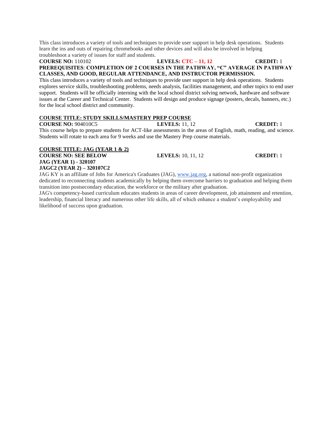This class introduces a variety of tools and techniques to provide user support in help desk operations. Students learn the ins and outs of repairing chromebooks and other devices and will also be involved in helping troubleshoot a variety of issues for staff and students.

# **COURSE NO:** 110102 **LEVELS: CTC – 11, 12 CREDIT:** 1 **PREREQUISITES**: **COMPLETION OF 2 COURSES IN THE PATHWAY, "C" AVERAGE IN PATHWAY CLASSES, AND GOOD, REGULAR ATTENDANCE, AND INSTRUCTOR PERMISSION.**

This class introduces a variety of tools and techniques to provide user support in help desk operations. Students explores service skills, troubleshooting problems, needs analysis, facilities management, and other topics to end user support. Students will be officially interning with the local school district solving network, hardware and software issues at the Career and Technical Center. Students will design and produce signage (posters, decals, banners, etc.) for the local school district and community.

# **COURSE TITLE: STUDY SKILLS/MASTERY PREP COURSE**

**COURSE NO:** 904010C5 **LEVELS:** 11, 12 **CREDIT:** 1

This course helps to prepare students for ACT-like assessments in the areas of English, math, reading, and science. Students will rotate to each area for 9 weeks and use the Mastery Prep course materials.

### **COURSE TITLE: JAG (YEAR 1 & 2) COURSE NO: SEE BELOW LEVELS:** 10, 11, 12 **CREDIT:** 1 **JAG (YEAR 1) - 320107 JAGC2 (YEAR 2) – 320107C2**

JAG KY is an affiliate of Jobs for America's Graduates (JAG), [www.jag.org,](http://www.jag.org/) a national non-profit organization dedicated to reconnecting students academically by helping them overcome barriers to graduation and helping them transition into postsecondary education, the workforce or the military after graduation.

JAG's competency-based curriculum educates students in areas of career development, job attainment and retention, leadership, financial literacy and numerous other life skills, all of which enhance a student's employability and likelihood of success upon graduation.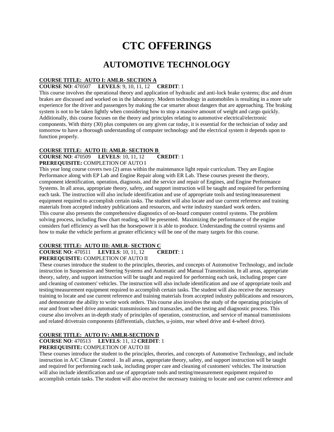# **CTC OFFERINGS**

# **AUTOMOTIVE TECHNOLOGY**

# **COURSE TITLE: AUTO I: AMLR- SECTION A**

## **COURSE NO**: 470507 **LEVELS**: 9, 10, 11, 12 **CREDIT**: 1

This course involves the operational theory and application of hydraulic and anti-lock brake systems; disc and drum brakes are discussed and worked on in the laboratory. Modern technology in automobiles is resulting in a more safe experience for the driver and passengers by making the car smarter about dangers that are approaching. The braking system is not to be taken lightly when considering how to stop a massive amount of weight and cargo quickly. Additionally, this course focuses on the theory and principles relating to automotive electrical/electronic components. With thirty (30) plus computers on any given car today, it is essential for the technician of today and tomorrow to have a thorough understanding of computer technology and the electrical system it depends upon to function properly.

# **COURSE TITLE: AUTO II: AMLR- SECTION B**

### **COURSE NO**: 470509 **LEVELS**: 10, 11, 12 **CREDIT**: 1 **PREREQUISITE:** COMPLETION OF AUTO I

This year long course covers two (2) areas within the maintenance light repair curriculum. They are Engine Performance along with EP Lab and Engine Repair along with ER Lab. These courses present the theory, component identification, operation, diagnosis, and the service and repair of Engines, and Engine Performance Systems. In all areas, appropriate theory, safety, and support instruction will be taught and required for performing each task. The instruction will also include identification and use of appropriate tools and testing/measurement equipment required to accomplish certain tasks. The student will also locate and use current reference and training materials from accepted industry publications and resources, and write industry standard work orders. This course also presents the comprehensive diagnostics of on-board computer control systems. The problem solving process, including flow chart reading, will be presented. Maximizing the performance of the engine considers fuel efficiency as well has the horsepower it is able to produce. Understanding the control systems and how to make the vehicle perform at greater efficiency will be one of the many targets for this course.

# **COURSE TITLE: AUTO III: AMLR- SECTION C**

# **COURSE NO**: 470511 **LEVELS**: 10, 11, 12 **CREDIT**: 1

**PREREQUISITE:** COMPLETION OF AUTO II

These courses introduce the student to the principles, theories, and concepts of Automotive Technology, and include instruction in Suspension and Steering Systems and Automatic and Manual Transmission. In all areas, appropriate theory, safety, and support instruction will be taught and required for performing each task, including proper care and cleaning of customers' vehicles. The instruction will also include identification and use of appropriate tools and testing/measurement equipment required to accomplish certain tasks. The student will also receive the necessary training to locate and use current reference and training materials from accepted industry publications and resources, and demonstrate the ability to write work orders. This course also involves the study of the operating principles of rear and front wheel drive automatic transmissions and transaxles, and the testing and diagnostic process. This course also involves an in-depth study of principles of operation, construction, and service of manual transmissions and related drivetrain components (differentials, clutches, u-joints, rear wheel drive and 4-wheel drive).

# **COURSE TITLE: AUTO IV: AMLR-SECTION D**

**COURSE NO**: 470513 **LEVELS**: 11, 12 **CREDIT**: 1

# **PREREQUISITE:** COMPLETION OF AUTO III

These courses introduce the student to the principles, theories, and concepts of Automotive Technology, and include instruction in A/C Climate Control . In all areas, appropriate theory, safety, and support instruction will be taught and required for performing each task, including proper care and cleaning of customers' vehicles. The instruction will also include identification and use of appropriate tools and testing/measurement equipment required to accomplish certain tasks. The student will also receive the necessary training to locate and use current reference and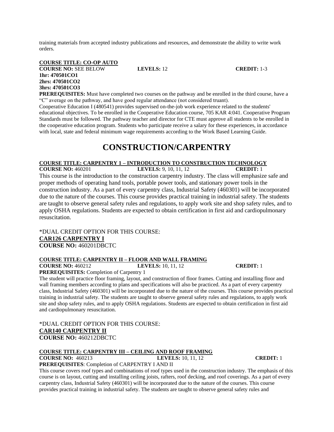training materials from accepted industry publications and resources, and demonstrate the ability to write work orders.

### **COURSE TITLE: CO-OP AUTO COURSE NO:** SEE BELOW **LEVELS:** 12 **CREDIT:** 1-3 **1hr: 470501CO1 2hrs: 470501CO2 3hrs: 470501CO3**

**PREREQUISITES:** Must have completed two courses on the pathway and be enrolled in the third course, have a "C" average on the pathway, and have good regular attendance (not considered truant).

Cooperative Education I (480541) provides supervised on-the-job work experience related to the students' educational objectives. To be enrolled in the Cooperative Education course, 705 KAR 4:041. Cooperative Program Standards must be followed. The pathway teacher and director for CTE must approve all students to be enrolled in the cooperative education program. Students who participate receive a salary for these experiences, in accordance with local, state and federal minimum wage requirements according to the Work Based Learning Guide.

# **CONSTRUCTION/CARPENTRY**

### **COURSE TITLE: CARPENTRY 1 – INTRODUCTION TO CONSTRUCTION TECHNOLOGY**

**COURSE NO:** 460201 **LEVELS:** 9, 10, 11, 12 **CREDIT:** 1 This course is the introduction to the construction carpentry industry. The class will emphasize safe and proper methods of operating hand tools, portable power tools, and stationary power tools in the construction industry. As a part of every carpentry class, Industrial Safety (460301) will be incorporated due to the nature of the courses. This course provides practical training in industrial safety. The students are taught to observe general safety rules and regulations, to apply work site and shop safety rules, and to apply OSHA regulations. Students are expected to obtain certification in first aid and cardiopulmonary resuscitation.

\*DUAL CREDIT OPTION FOR THIS COURSE: **CAR126 CARPENTRY I COURSE NO:** 460201DBCTC

# **COURSE TITLE: CARPENTRY II – FLOOR AND WALL FRAMING**

**COURSE NO:** 460212 **LEVELS:** 10, 11, 12 **CREDIT:** 1

**PREREQUISITES:** Completion of Carpentry 1

The student will practice floor framing, layout, and construction of floor frames. Cutting and installing floor and wall framing members according to plans and specifications will also be practiced. As a part of every carpentry class, Industrial Safety (460301) will be incorporated due to the nature of the courses. This course provides practical training in industrial safety. The students are taught to observe general safety rules and regulations, to apply work site and shop safety rules, and to apply OSHA regulations. Students are expected to obtain certification in first aid and cardiopulmonary resuscitation.

\*DUAL CREDIT OPTION FOR THIS COURSE: **CAR140 CARPENTRY II COURSE NO:** 460212DBCTC

# **COURSE TITLE: CARPENTRY III – CEILING AND ROOF FRAMING**

**COURSE NO:** 460213 **LEVELS:** 10, 11, 12 **CREDIT:** 1

**PREREQUISITES**: Completion of CARPENTRY I AND II

This course covers roof types and combinations of roof types used in the construction industry. The emphasis of this course is on layout, cutting and installing ceiling joists, rafters, roof decking, and roof coverings. As a part of every carpentry class, Industrial Safety (460301) will be incorporated due to the nature of the courses. This course provides practical training in industrial safety. The students are taught to observe general safety rules and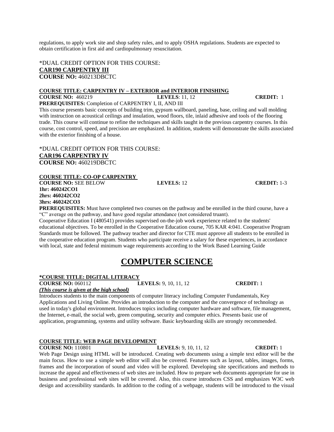regulations, to apply work site and shop safety rules, and to apply OSHA regulations. Students are expected to obtain certification in first aid and cardiopulmonary resuscitation.

\*DUAL CREDIT OPTION FOR THIS COURSE: **CAR190 CARPENTRY III COURSE NO:** 460213DBCTC

# **COURSE TITLE: CARPENTRY IV – EXTERIOR and INTERIOR FINISHING**

**COURSE NO:** 460219 **LEVELS**: 11, 12 **CREDIT:** 1 **PREREQUISITES:** Completion of CARPENTRY I, II, AND III

This course presents basic concepts of building trim, gypsum wallboard, paneling, base, ceiling and wall molding with instruction on acoustical ceilings and insulation, wood floors, tile, inlaid adhesive and tools of the flooring trade. This course will continue to refine the techniques and skills taught in the previous carpentry courses. In this course, cost control, speed, and precision are emphasized. In addition, students will demonstrate the skills associated with the exterior finishing of a house.

\*DUAL CREDIT OPTION FOR THIS COURSE: **CAR196 CARPENTRY IV COURSE NO:** 460219DBCTC

### **COURSE TITLE: CO-OP CARPENTRY**

**COURSE NO:** SEE BELOW **LEVELS:** 12 **CREDIT:** 1-3 **1hr: 460242CO1 2hrs: 460242CO2 3hrs: 460242CO3**

**PREREQUISITES:** Must have completed two courses on the pathway and be enrolled in the third course, have a "C" average on the pathway, and have good regular attendance (not considered truant).

Cooperative Education I (480541) provides supervised on-the-job work experience related to the students' educational objectives. To be enrolled in the Cooperative Education course, 705 KAR 4:041. Cooperative Program Standards must be followed. The pathway teacher and director for CTE must approve all students to be enrolled in the cooperative education program. Students who participate receive a salary for these experiences, in accordance with local, state and federal minimum wage requirements according to the Work Based Learning Guide

# **COMPUTER SCIENCE**

# **\*COURSE TITLE: DIGITAL LITERACY**

**COURSE NO:** 060112 **LEVELS:** 9, 10, 11, 12 **CREDIT:** 1

*(This course is given at the high school)*

Introduces students to the main components of computer literacy including Computer Fundamentals, Key Applications and Living Online. Provides an introduction to the computer and the convergence of technology as used in today's global environment. Introduces topics including computer hardware and software, file management, the Internet, e-mail, the social web, green computing, security and computer ethics. Presents basic use of application, programming, systems and utility software. Basic keyboarding skills are strongly recommended.

### **COURSE TITLE: WEB PAGE DEVELOPMENT**

**COURSE NO:** 110801 **LEVELS:** 9, 10, 11, 12 **CREDIT:** 1

Web Page Design using HTML will be introduced. Creating web documents using a simple text editor will be the main focus. How to use a simple web editor will also be covered. Features such as layout, tables, images, forms, frames and the incorporation of sound and video will be explored. Developing site specifications and methods to increase the appeal and effectiveness of web sites are included. How to prepare web documents appropriate for use in business and professional web sites will be covered. Also, this course introduces CSS and emphasizes W3C web design and accessibility standards. In addition to the coding of a webpage, students will be introduced to the visual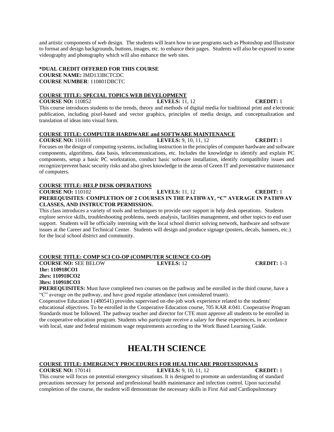and artistic components of web design. The students will learn how to use programs such as Photoshop and Illustrator to format and design backgrounds, buttons, images, etc. to enhance their pages. Students will also be exposed to some videography and photography which will also enhance the web sites.

# **\*DUAL CREDIT OFFERED FOR THIS COURSE COURSE NAME:** IMD133BCTCDC **COURSE NUMBER**: 110801DBCTC

### **COURSE TITLE: SPECIAL TOPICS WEB DEVELOPMENT**

### **COURSE NO:** 110852 **LEVELS:** 11, 12 **CREDIT:** 1

This course introduces students to the trends, theory and methods of digital media for traditional print and electronic publication, including pixel-based and vector graphics, principles of media design, and conceptualization and translation of ideas into visual form.

## **COURSE TITLE: COMPUTER HARDWARE and SOFTWARE MAINTENANCE**

**COURSE NO:** 110101 **LEVELS:** 9, 10, 11, 12 **CREDIT:** 1

Focuses on the design of computing systems, including instruction in the principles of computer hardware and software components, algorithms, data basis, telecommunications, etc. Includes the knowledge to identify and explain PC components, setup a basic PC workstation, conduct basic software installation, identify compatibility issues and recognize/prevent basic security risks and also gives knowledge in the areas of Green IT and preventative maintenance of computers.

### **COURSE TITLE: HELP DESK OPERATIONS**

# **COURSE NO:** 110102 **LEVELS:** 11, 12 **CREDIT:** 1 **PREREQUISITES**: **COMPLETION OF 2 COURSES IN THE PATHWAY, "C" AVERAGE IN PATHWAY CLASSES, AND INSTRUCTOR PERMISSION.**

This class introduces a variety of tools and techniques to provide user support in help desk operations. Students explore service skills, troubleshooting problems, needs analysis, facilities management, and other topics to end user support. Students will be officially interning with the local school district solving network, hardware and software issues at the Career and Technical Center. Students will design and produce signage (posters, decals, banners, etc.) for the local school district and community.

## **COURSE TITLE: COMP SCI CO-OP (COMPUTER SCIENCE CO-OP)**

**COURSE NO:** SEE BELOW **LEVELS:** 12 **CREDIT:** 1-3 **1hr: 110918CO1 2hrs: 110918CO2 3hrs: 110918CO3**

**PREREQUISITES:** Must have completed two courses on the pathway and be enrolled in the third course, have a "C" average on the pathway, and have good regular attendance (not considered truant).

Cooperative Education I (480541) provides supervised on-the-job work experience related to the students' educational objectives. To be enrolled in the Cooperative Education course, 705 KAR 4:041. Cooperative Program Standards must be followed. The pathway teacher and director for CTE must approve all students to be enrolled in the cooperative education program. Students who participate receive a salary for these experiences, in accordance with local, state and federal minimum wage requirements according to the Work Based Learning Guide.

# **HEALTH SCIENCE**

## **COURSE TITLE: EMERGENCY PROCEDURES FOR HEALTHCARE PROFESSIONALS**

**COURSE NO:** 170141 **LEVELS:** 9, 10, 11, 12 **CREDIT:** 1 This course will focus on potential emergency situations. It is designed to promote an understanding of standard precautions necessary for personal and professional health maintenance and infection control. Upon successful completion of the course, the student will demonstrate the necessary skills in First Aid and Cardiopulmonary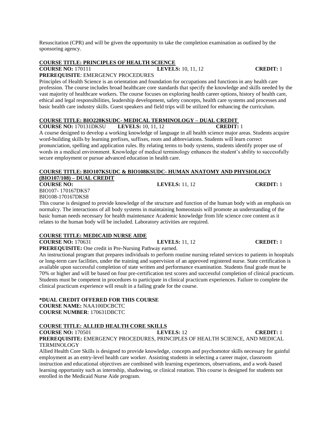Resuscitation (CPR) and will be given the opportunity to take the completion examination as outlined by the sponsoring agency.

# **COURSE TITLE: PRINCIPLES OF HEALTH SCIENCE**

# **COURSE 10, 11, 12 CREDIT:** 1 **PREREQUISITE**: EMERGENCY PROCEDURES

Principles of Health Science is an orientation and foundation for occupations and functions in any health care profession. The course includes broad healthcare core standards that specify the knowledge and skills needed by the vast majority of healthcare workers. The course focuses on exploring health career options, history of health care, ethical and legal responsibilities, leadership development, safety concepts, health care systems and processes and basic health care industry skills. Guest speakers and field trips will be utilized for enhancing the curriculum.

# **COURSE TITLE: BIO220KSUDC- MEDICAL TERMINOLOGY – DUAL CREDIT**

**COURSE NO:** 170131DKSU **LEVELS:** 10, 11, 12 **CREDIT:** 1 A course designed to develop a working knowledge of language in all health science major areas. Students acquire word-building skills by learning prefixes, suffixes, roots and abbreviations. Students will learn correct pronunciation, spelling and application rules. By relating terms to body systems, students identify proper use of words in a medical environment. Knowledge of medical terminology enhances the student's ability to successfully secure employment or pursue advanced education in health care.

### **COURSE TITLE: BIO107KSUDC & BIO108KSUDC- HUMAN ANATOMY AND PHYSIOLOGY (BIO107/108) – DUAL CREDIT COURSE NO: LEVELS:** 11, 12 **CREDIT:** 1

BIO107- 170167DKS7

BIO108-170167DKS8

This course is designed to provide knowledge of the structure and function of the human body with an emphasis on normalcy. The interactions of all body systems in maintaining homeostasis will promote an understanding of the basic human needs necessary for health maintenance Academic knowledge from life science core content as it relates to the human body will be included. Laboratory activities are required.

# **COURSE TITLE: MEDICAID NURSE AIDE**

**COURSE NO:** 170631 **LEVELS:** 11, 12 **CREDIT:** 1 **PREREQUISITE:** One credit in Pre-Nursing Pathway earned.

An instructional program that prepares individuals to perform routine nursing related services to patients in hospitals or long-term care facilities, under the training and supervision of an approved registered nurse. State certification is available upon successful completion of state written and performance examination. Students final grade must be 70% or higher and will be based on four pre-certification test scores and successful completion of clinical practicum. Students must be competent in procedures to participate in clinical practicum experiences. Failure to complete the clinical practicum experience will result in a failing grade for the course.

# **\*DUAL CREDIT OFFERED FOR THIS COURSE**

**COURSE NAME:** NAA100DCBCTC **COURSE NUMBER**: 170631DBCTC

# **COURSE TITLE: ALLIED HEALTH CORE SKILLS**

**COURSE NO:** 170501 **LEVELS:** 12 **CREDIT:** 1 **PREREQUISITE:** EMERGENCY PROCEDURES, PRINCIPLES OF HEALTH SCIENCE, AND MEDICAL **TERMINOLOGY** 

Allied Health Core Skills is designed to provide knowledge, concepts and psychomotor skills necessary for gainful employment as an entry-level health care worker. Assisting students in selecting a career major, classroom instruction and educational objectives are combined with learning experiences, observations, and a work-based learning opportunity such as internship, shadowing, or clinical rotation. This course is designed for students not enrolled in the Medicaid Nurse Aide program.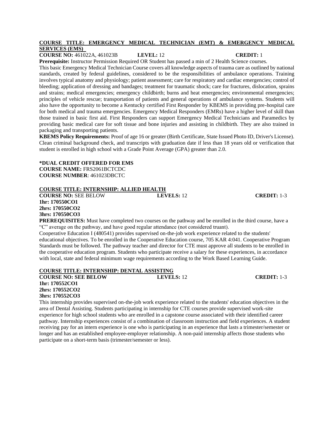# **COURSE TITLE: EMERGENCY MEDICAL TECHNICIAN (EMT) & EMERGENCY MEDICAL SERVICES (EMS)**

**COURSE NO:** 461022A, 461023B **LEVEL:** 12 **CREDIT:** 1 **Prerequisite:** Instructor Permission Required OR Student has passed a min of 2 Health Science courses.

This basic Emergency Medical Technician Course covers all knowledge aspects of trauma care as outlined by national standards, created by federal guidelines, considered to be the responsibilities of ambulance operations. Training involves typical anatomy and physiology; patient assessment; care for respiratory and cardiac emergencies; control of bleeding; application of dressing and bandages; treatment for traumatic shock; care for fractures, dislocation, sprains and strains; medical emergencies; emergency childbirth; burns and heat emergencies; environmental emergencies; principles of vehicle rescue; transportation of patients and general operations of ambulance systems. Students will also have the opportunity to become a Kentucky certified First Responder by KBEMS in providing pre-hospital care for both medical and trauma emergencies. Emergency Medical Responders (EMRs) have a higher level of skill than those trained in basic first aid. First Responders can support Emergency Medical Technicians and Paramedics by providing basic medical care for soft tissue and bone injuries and assisting in childbirth. They are also trained in packaging and transporting patients.

**KBEMS Policy Requirements:** Proof of age 16 or greater (Birth Certificate, State Issued Photo ID, Driver's License). Clean criminal background check, and transcripts with graduation date if less than 18 years old or verification that student is enrolled in high school with a Grade Point Average (GPA) greater than 2.0.

### **\*DUAL CREDIT OFFERED FOR EMS COURSE NAME:** FRS2061BCTCDC **COURSE NUMBER**: 461023DBCTC

# **COURSE TITLE: INTERNSHIP: ALLIED HEALTH**

**COURSE NO:** SEE BELOW **LEVELS:** 12 **CREDIT:** 1-3 **1hr: 170550CO1 2hrs: 170550CO2 3hrs: 170550CO3**

**PREREQUISITES:** Must have completed two courses on the pathway and be enrolled in the third course, have a "C" average on the pathway, and have good regular attendance (not considered truant).

Cooperative Education I (480541) provides supervised on-the-job work experience related to the students' educational objectives. To be enrolled in the Cooperative Education course, 705 KAR 4:041. Cooperative Program Standards must be followed. The pathway teacher and director for CTE must approve all students to be enrolled in the cooperative education program. Students who participate receive a salary for these experiences, in accordance with local, state and federal minimum wage requirements according to the Work Based Learning Guide.

# **COURSE TITLE: INTERNSHIP: DENTAL ASSISTING**

**COURSE NO: SEE BELOW LEVELS:** 12 **CREDIT:** 1-3 **1hr: 170552CO1 2hrs: 170552CO2**

**3hrs: 170552CO3**

This internship provides supervised on-the-job work experience related to the students' education objectives in the area of Dental Assisting. Students participating in internship for CTE courses provide supervised work-site experience for high school students who are enrolled in a capstone course associated with their identified career pathway. Internship experiences consist of a combination of classroom instruction and field experiences. A student receiving pay for an intern experience is one who is participating in an experience that lasts a trimester/semester or longer and has an established employee-employer relationship. A non-paid internship affects those students who participate on a short-term basis (trimester/semester or less).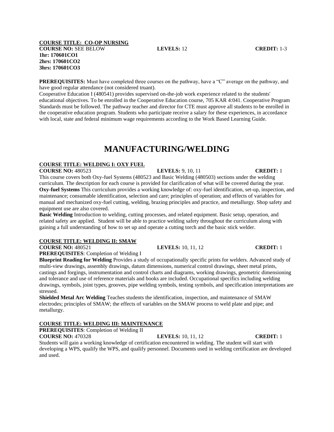### **COURSE TITLE: CO-OP NURSING COURSE NO:** SEE BELOW **LEVELS:** 12 **CREDIT:** 1-3 **1hr: 170601CO1 2hrs: 170601CO2 3hrs: 170601CO3**

**PREREQUISITES:** Must have completed three courses on the pathway, have a "C" average on the pathway, and have good regular attendance (not considered truant).

Cooperative Education I (480541) provides supervised on-the-job work experience related to the students' educational objectives. To be enrolled in the Cooperative Education course, 705 KAR 4:041. Cooperative Program Standards must be followed. The pathway teacher and director for CTE must approve all students to be enrolled in the cooperative education program. Students who participate receive a salary for these experiences, in accordance with local, state and federal minimum wage requirements according to the Work Based Learning Guide.

# **MANUFACTURING/WELDING**

### **COURSE TITLE: WELDING I: OXY FUEL**

**COURSE NO:** 480523 **LEVELS:** 9, 10, 11 **CREDIT:** 1 This course covers both Oxy-fuel Systems (480523 and Basic Welding (480503) sections under the welding curriculum. The description for each course is provided for clarification of what will be covered during the year. **Oxy-fuel Systems** This curriculum provides a working knowledge of: oxy-fuel identification, set-up, inspection, and maintenance; consumable identification, selection and care; principles of operation; and effects of variables for manual and mechanized oxy-fuel cutting, welding, brazing principles and practice, and metallurgy. Shop safety and equipment use are also covered.

**Basic Welding** Introduction to welding, cutting processes, and related equipment. Basic setup, operation, and related safety are applied. Student will be able to practice welding safety throughout the curriculum along with gaining a full understanding of how to set up and operate a cutting torch and the basic stick welder.

### **COURSE TITLE: WELDING II: SMAW**

**COURSE NO:** 480521 **LEVELS:** 10, 11, 12 **CREDIT:** 1

**PREREQUISITES**: Completion of Welding I

**Blueprint Reading for Welding** Provides a study of occupationally specific prints for welders. Advanced study of multi-view drawings, assembly drawings, datum dimensions, numerical control drawings, sheet metal prints, castings and forgings, instrumentation and control charts and diagrams, working drawings, geometric dimensioning and tolerance and use of reference materials and books are included. Occupational specifics including welding drawings, symbols, joint types, grooves, pipe welding symbols, testing symbols, and specification interpretations are stressed.

**Shielded Metal Arc Welding** Teaches students the identification, inspection, and maintenance of SMAW electrodes; principles of SMAW; the effects of variables on the SMAW process to weld plate and pipe; and metallurgy.

# **COURSE TITLE: WELDING III: MAINTENANCE**

**PREREQUISITES**: Completion of Welding II

**COURSE NO:** 470328 **LEVELS:** 10, 11, 12 **CREDIT:** 1 Students will gain a working knowledge of certification encountered in welding. The student will start with developing a WPS, qualify the WPS, and qualify personnel. Documents used in welding certification are developed and used.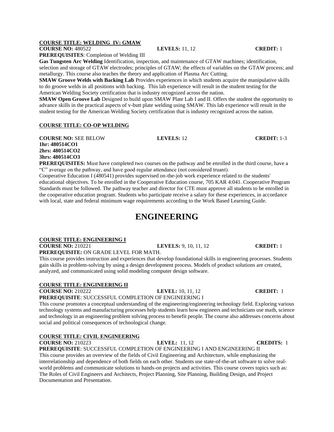# **COURSE TITLE: WELDING IV: GMAW**

**COURSE NO:** 480522 **LEVELS:** 11, 12 **CREDIT:** 1

**PREREQUISITES**: Completion of Welding III

**Gas Tungsten Arc Welding** Identification, inspection, and maintenance of GTAW machines; identification, selection and storage of GTAW electrodes; principles of GTAW; the effects of variables on the GTAW process; and metallurgy. This course also teaches the theory and application of Plasma Arc Cutting.

**SMAW Groove Welds with Backing Lab** Provides experiences in which students acquire the manipulative skills to do groove welds in all positions with backing. This lab experience will result in the student testing for the American Welding Society certification that is industry recognized across the nation.

**SMAW Open Groove Lab** Designed to build upon SMAW Plate Lab I and II. Offers the student the opportunity to advance skills in the practical aspects of v-butt plate welding using SMAW. This lab experience will result in the student testing for the American Welding Society certification that is industry recognized across the nation.

### **COURSE TITLE: CO-OP WELDING**

**COURSE NO:** SEE BELOW **LEVELS:** 12 **CREDIT:** 1-3 **1hr: 480514CO1 2hrs: 480514CO2 3hrs: 480514CO3**

**PREREQUISITES:** Must have completed two courses on the pathway and be enrolled in the third course, have a "C" average on the pathway, and have good regular attendance (not considered truant).

Cooperative Education I (480541) provides supervised on-the-job work experience related to the students' educational objectives. To be enrolled in the Cooperative Education course, 705 KAR 4:041. Cooperative Program Standards must be followed. The pathway teacher and director for CTE must approve all students to be enrolled in the cooperative education program. Students who participate receive a salary for these experiences, in accordance with local, state and federal minimum wage requirements according to the Work Based Learning Guide.

# **ENGINEERING**

# **COURSE TITLE: ENGINEERING I**

**COURSE NO:** 210221 **LEVELS:** 9, 10, 11, 12 **CREDIT:** 1 **PREREQUISITE:** ON GRADE LEVEL FOR MATH.

This course provides instruction and experiences that develop foundational skills in engineering processes. Students gain skills in problem-solving by using a design development process. Models of product solutions are created, analyzed, and communicated using solid modeling computer design software.

# **COURSE TITLE: ENGINEERING II**

**COURSE NO:** 210222 **LEVEL:** 10, 11, 12 **CREDIT:** 1

**PREREQUISITE**: SUCCESSFUL COMPLETION OF ENGINEERING I

This course promotes a conceptual understanding of the engineering/engineering technology field. Exploring various technology systems and manufacturing processes help students learn how engineers and technicians use math, science and technology in an engineering problem solving process to benefit people. The course also addresses concerns about social and political consequences of technological change.

# **COURSE TITLE: CIVIL ENGINEERING**

**COURSE NO:** 210223 **LEVEL:** 11, 12 **CREDITS:** 1 **PREREQUISITE**: SUCCESSFUL COMPLETION OF ENGINEERING I AND ENGINEERING II This course provides an overview of the fields of Civil Engineering and Architecture, while emphasizing the interrelationship and dependence of both fields on each other. Students use state-of-the-art software to solve realworld problems and communicate solutions to hands-on projects and activities. This course covers topics such as: The Roles of Civil Engineers and Architects, Project Planning, Site Planning, Building Design, and Project Documentation and Presentation.